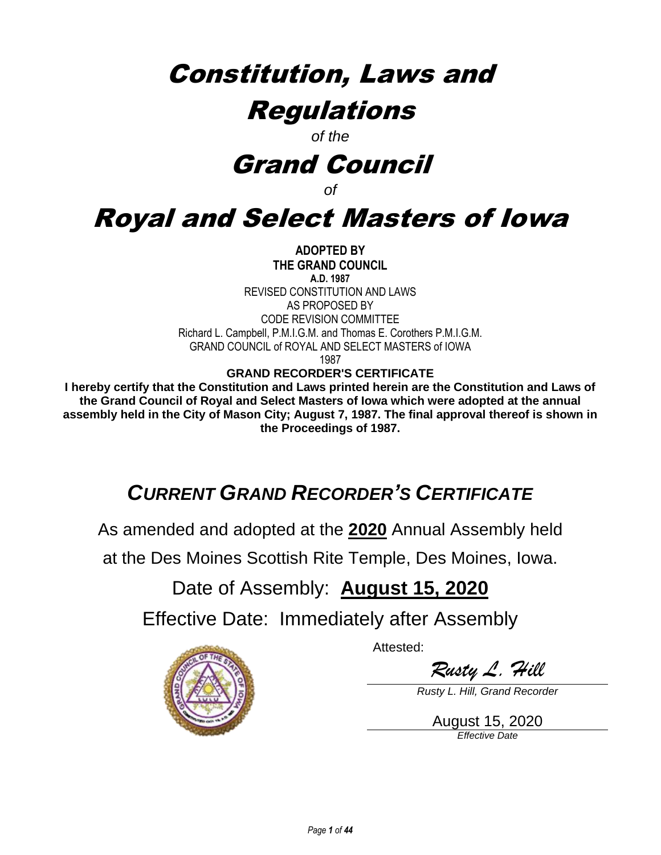# Constitution, Laws and Regulations

# *of the*

# Grand Council

*of* 

# Royal and Select Masters of Iowa

**ADOPTED BY THE GRAND COUNCIL A.D. 1987** REVISED CONSTITUTION AND LAWS AS PROPOSED BY CODE REVISION COMMITTEE Richard L. Campbell, P.M.I.G.M. and Thomas E. Corothers P.M.I.G.M. GRAND COUNCIL of ROYAL AND SELECT MASTERS of IOWA 1987

#### **GRAND RECORDER'S CERTIFICATE**

**I hereby certify that the Constitution and Laws printed herein are the Constitution and Laws of the Grand Council of Royal and Select Masters of Iowa which were adopted at the annual assembly held in the City of Mason City; August 7, 1987. The final approval thereof is shown in the Proceedings of 1987.**

# *CURRENT GRAND RECORDER'S CERTIFICATE*

As amended and adopted at the **2020** Annual Assembly held

at the Des Moines Scottish Rite Temple, Des Moines, Iowa.

# Date of Assembly: **August 15, 2020**

Effective Date: Immediately after Assembly



*Rusty L. Hill*

*Rusty L. Hill, Grand Recorder*

August 15, 2020 *Effective Date*

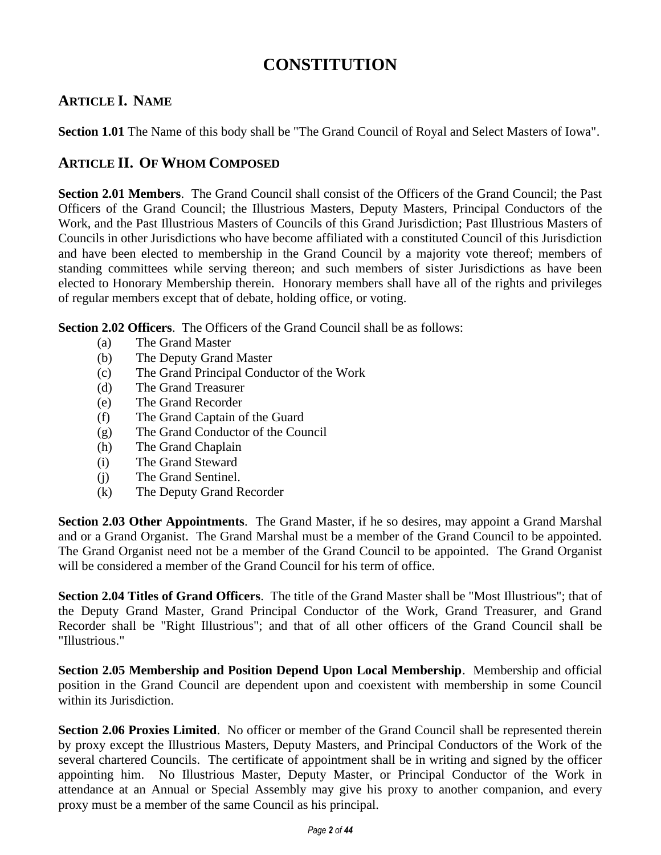# **CONSTITUTION**

### **ARTICLE I. NAME**

**Section 1.01** The Name of this body shall be "The Grand Council of Royal and Select Masters of Iowa".

#### **ARTICLE II. OF WHOM COMPOSED**

**Section 2.01 Members**. The Grand Council shall consist of the Officers of the Grand Council; the Past Officers of the Grand Council; the Illustrious Masters, Deputy Masters, Principal Conductors of the Work, and the Past Illustrious Masters of Councils of this Grand Jurisdiction; Past Illustrious Masters of Councils in other Jurisdictions who have become affiliated with a constituted Council of this Jurisdiction and have been elected to membership in the Grand Council by a majority vote thereof; members of standing committees while serving thereon; and such members of sister Jurisdictions as have been elected to Honorary Membership therein. Honorary members shall have all of the rights and privileges of regular members except that of debate, holding office, or voting.

**Section 2.02 Officers**. The Officers of the Grand Council shall be as follows:

- (a) The Grand Master
- (b) The Deputy Grand Master
- (c) The Grand Principal Conductor of the Work
- (d) The Grand Treasurer
- (e) The Grand Recorder
- (f) The Grand Captain of the Guard
- (g) The Grand Conductor of the Council
- (h) The Grand Chaplain
- (i) The Grand Steward
- (j) The Grand Sentinel.
- (k) The Deputy Grand Recorder

**Section 2.03 Other Appointments**. The Grand Master, if he so desires, may appoint a Grand Marshal and or a Grand Organist. The Grand Marshal must be a member of the Grand Council to be appointed. The Grand Organist need not be a member of the Grand Council to be appointed. The Grand Organist will be considered a member of the Grand Council for his term of office.

**Section 2.04 Titles of Grand Officers**. The title of the Grand Master shall be "Most Illustrious"; that of the Deputy Grand Master, Grand Principal Conductor of the Work, Grand Treasurer, and Grand Recorder shall be "Right Illustrious"; and that of all other officers of the Grand Council shall be "Illustrious."

**Section 2.05 Membership and Position Depend Upon Local Membership**. Membership and official position in the Grand Council are dependent upon and coexistent with membership in some Council within its Jurisdiction.

**Section 2.06 Proxies Limited**. No officer or member of the Grand Council shall be represented therein by proxy except the Illustrious Masters, Deputy Masters, and Principal Conductors of the Work of the several chartered Councils. The certificate of appointment shall be in writing and signed by the officer appointing him. No Illustrious Master, Deputy Master, or Principal Conductor of the Work in attendance at an Annual or Special Assembly may give his proxy to another companion, and every proxy must be a member of the same Council as his principal.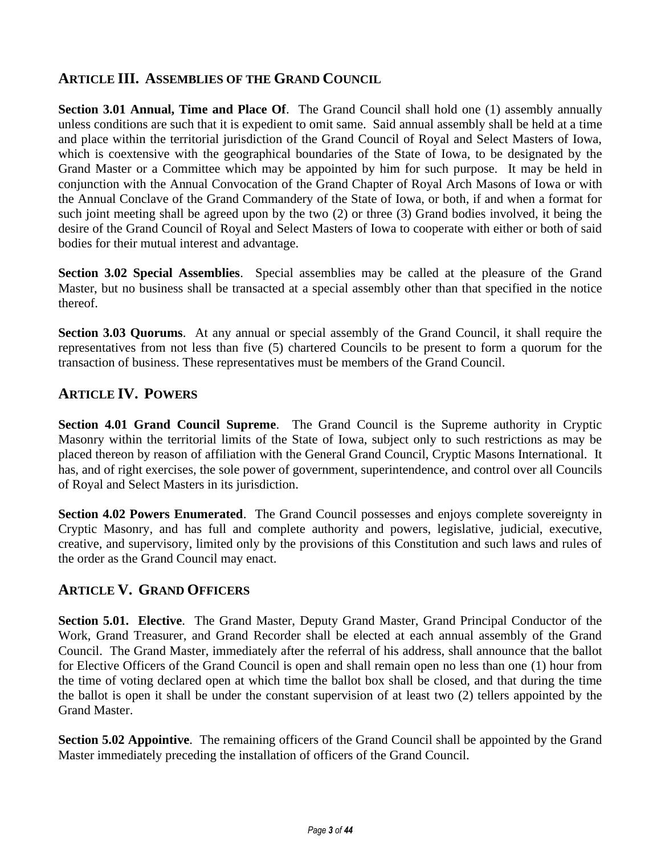#### **ARTICLE III. ASSEMBLIES OF THE GRAND COUNCIL**

**Section 3.01 Annual, Time and Place Of**. The Grand Council shall hold one (1) assembly annually unless conditions are such that it is expedient to omit same. Said annual assembly shall be held at a time and place within the territorial jurisdiction of the Grand Council of Royal and Select Masters of Iowa, which is coextensive with the geographical boundaries of the State of Iowa, to be designated by the Grand Master or a Committee which may be appointed by him for such purpose. It may be held in conjunction with the Annual Convocation of the Grand Chapter of Royal Arch Masons of Iowa or with the Annual Conclave of the Grand Commandery of the State of Iowa, or both, if and when a format for such joint meeting shall be agreed upon by the two (2) or three (3) Grand bodies involved, it being the desire of the Grand Council of Royal and Select Masters of Iowa to cooperate with either or both of said bodies for their mutual interest and advantage.

**Section 3.02 Special Assemblies**. Special assemblies may be called at the pleasure of the Grand Master, but no business shall be transacted at a special assembly other than that specified in the notice thereof.

**Section 3.03 Quorums**. At any annual or special assembly of the Grand Council, it shall require the representatives from not less than five (5) chartered Councils to be present to form a quorum for the transaction of business. These representatives must be members of the Grand Council.

#### **ARTICLE IV. POWERS**

**Section 4.01 Grand Council Supreme**. The Grand Council is the Supreme authority in Cryptic Masonry within the territorial limits of the State of Iowa, subject only to such restrictions as may be placed thereon by reason of affiliation with the General Grand Council, Cryptic Masons International. It has, and of right exercises, the sole power of government, superintendence, and control over all Councils of Royal and Select Masters in its jurisdiction.

**Section 4.02 Powers Enumerated.** The Grand Council possesses and enjoys complete sovereignty in Cryptic Masonry, and has full and complete authority and powers, legislative, judicial, executive, creative, and supervisory, limited only by the provisions of this Constitution and such laws and rules of the order as the Grand Council may enact.

#### **ARTICLE V. GRAND OFFICERS**

**Section 5.01. Elective**. The Grand Master, Deputy Grand Master, Grand Principal Conductor of the Work, Grand Treasurer, and Grand Recorder shall be elected at each annual assembly of the Grand Council. The Grand Master, immediately after the referral of his address, shall announce that the ballot for Elective Officers of the Grand Council is open and shall remain open no less than one (1) hour from the time of voting declared open at which time the ballot box shall be closed, and that during the time the ballot is open it shall be under the constant supervision of at least two (2) tellers appointed by the Grand Master.

**Section 5.02 Appointive.** The remaining officers of the Grand Council shall be appointed by the Grand Master immediately preceding the installation of officers of the Grand Council.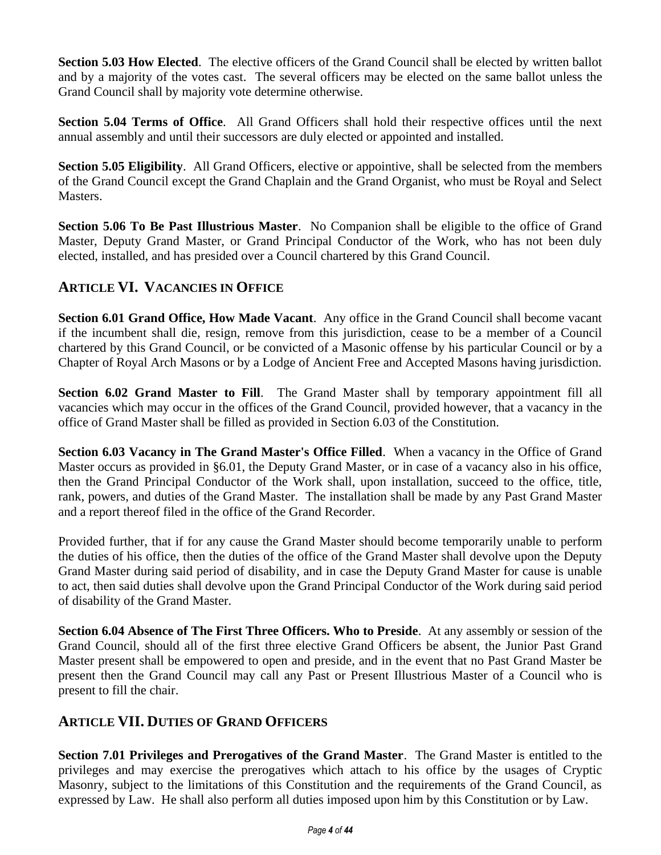**Section 5.03 How Elected.** The elective officers of the Grand Council shall be elected by written ballot and by a majority of the votes cast. The several officers may be elected on the same ballot unless the Grand Council shall by majority vote determine otherwise.

**Section 5.04 Terms of Office**. All Grand Officers shall hold their respective offices until the next annual assembly and until their successors are duly elected or appointed and installed.

**Section 5.05 Eligibility.** All Grand Officers, elective or appointive, shall be selected from the members of the Grand Council except the Grand Chaplain and the Grand Organist, who must be Royal and Select Masters.

**Section 5.06 To Be Past Illustrious Master**. No Companion shall be eligible to the office of Grand Master, Deputy Grand Master, or Grand Principal Conductor of the Work, who has not been duly elected, installed, and has presided over a Council chartered by this Grand Council.

#### **ARTICLE VI. VACANCIES IN OFFICE**

**Section 6.01 Grand Office, How Made Vacant**. Any office in the Grand Council shall become vacant if the incumbent shall die, resign, remove from this jurisdiction, cease to be a member of a Council chartered by this Grand Council, or be convicted of a Masonic offense by his particular Council or by a Chapter of Royal Arch Masons or by a Lodge of Ancient Free and Accepted Masons having jurisdiction.

**Section 6.02 Grand Master to Fill**. The Grand Master shall by temporary appointment fill all vacancies which may occur in the offices of the Grand Council, provided however, that a vacancy in the office of Grand Master shall be filled as provided in Section 6.03 of the Constitution.

**Section 6.03 Vacancy in The Grand Master's Office Filled**. When a vacancy in the Office of Grand Master occurs as provided in §6.01, the Deputy Grand Master, or in case of a vacancy also in his office, then the Grand Principal Conductor of the Work shall, upon installation, succeed to the office, title, rank, powers, and duties of the Grand Master. The installation shall be made by any Past Grand Master and a report thereof filed in the office of the Grand Recorder.

Provided further, that if for any cause the Grand Master should become temporarily unable to perform the duties of his office, then the duties of the office of the Grand Master shall devolve upon the Deputy Grand Master during said period of disability, and in case the Deputy Grand Master for cause is unable to act, then said duties shall devolve upon the Grand Principal Conductor of the Work during said period of disability of the Grand Master.

**Section 6.04 Absence of The First Three Officers. Who to Preside**. At any assembly or session of the Grand Council, should all of the first three elective Grand Officers be absent, the Junior Past Grand Master present shall be empowered to open and preside, and in the event that no Past Grand Master be present then the Grand Council may call any Past or Present Illustrious Master of a Council who is present to fill the chair.

#### **ARTICLE VII. DUTIES OF GRAND OFFICERS**

**Section 7.01 Privileges and Prerogatives of the Grand Master**. The Grand Master is entitled to the privileges and may exercise the prerogatives which attach to his office by the usages of Cryptic Masonry, subject to the limitations of this Constitution and the requirements of the Grand Council, as expressed by Law. He shall also perform all duties imposed upon him by this Constitution or by Law.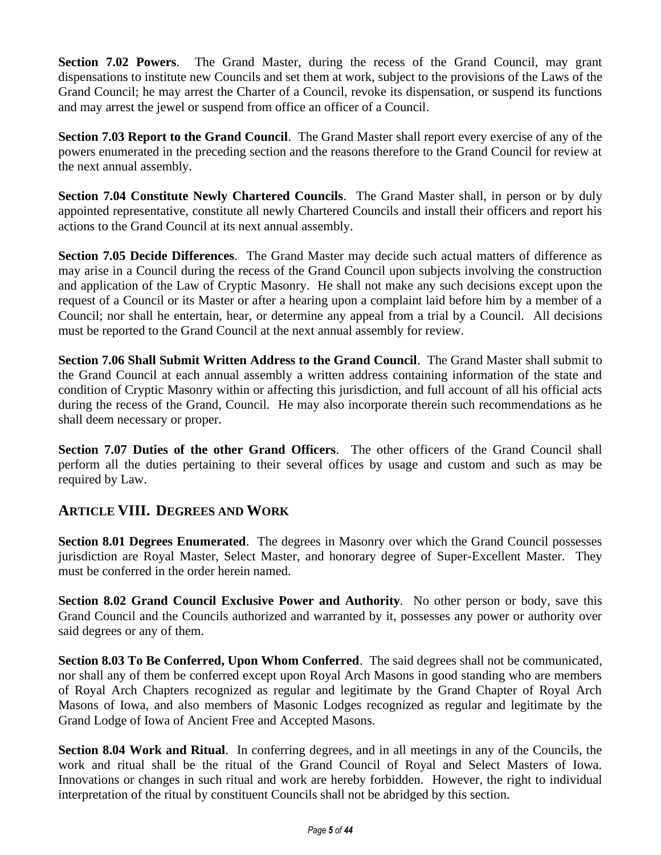**Section 7.02 Powers**. The Grand Master, during the recess of the Grand Council, may grant dispensations to institute new Councils and set them at work, subject to the provisions of the Laws of the Grand Council; he may arrest the Charter of a Council, revoke its dispensation, or suspend its functions and may arrest the jewel or suspend from office an officer of a Council.

**Section 7.03 Report to the Grand Council**. The Grand Master shall report every exercise of any of the powers enumerated in the preceding section and the reasons therefore to the Grand Council for review at the next annual assembly.

**Section 7.04 Constitute Newly Chartered Councils**. The Grand Master shall, in person or by duly appointed representative, constitute all newly Chartered Councils and install their officers and report his actions to the Grand Council at its next annual assembly.

**Section 7.05 Decide Differences**. The Grand Master may decide such actual matters of difference as may arise in a Council during the recess of the Grand Council upon subjects involving the construction and application of the Law of Cryptic Masonry. He shall not make any such decisions except upon the request of a Council or its Master or after a hearing upon a complaint laid before him by a member of a Council; nor shall he entertain, hear, or determine any appeal from a trial by a Council. All decisions must be reported to the Grand Council at the next annual assembly for review.

**Section 7.06 Shall Submit Written Address to the Grand Council**. The Grand Master shall submit to the Grand Council at each annual assembly a written address containing information of the state and condition of Cryptic Masonry within or affecting this jurisdiction, and full account of all his official acts during the recess of the Grand, Council. He may also incorporate therein such recommendations as he shall deem necessary or proper.

**Section 7.07 Duties of the other Grand Officers**. The other officers of the Grand Council shall perform all the duties pertaining to their several offices by usage and custom and such as may be required by Law.

#### **ARTICLE VIII. DEGREES AND WORK**

**Section 8.01 Degrees Enumerated.** The degrees in Masonry over which the Grand Council possesses jurisdiction are Royal Master, Select Master, and honorary degree of Super-Excellent Master. They must be conferred in the order herein named.

**Section 8.02 Grand Council Exclusive Power and Authority**. No other person or body, save this Grand Council and the Councils authorized and warranted by it, possesses any power or authority over said degrees or any of them.

**Section 8.03 To Be Conferred, Upon Whom Conferred**. The said degrees shall not be communicated, nor shall any of them be conferred except upon Royal Arch Masons in good standing who are members of Royal Arch Chapters recognized as regular and legitimate by the Grand Chapter of Royal Arch Masons of Iowa, and also members of Masonic Lodges recognized as regular and legitimate by the Grand Lodge of Iowa of Ancient Free and Accepted Masons.

**Section 8.04 Work and Ritual**. In conferring degrees, and in all meetings in any of the Councils, the work and ritual shall be the ritual of the Grand Council of Royal and Select Masters of Iowa. Innovations or changes in such ritual and work are hereby forbidden. However, the right to individual interpretation of the ritual by constituent Councils shall not be abridged by this section.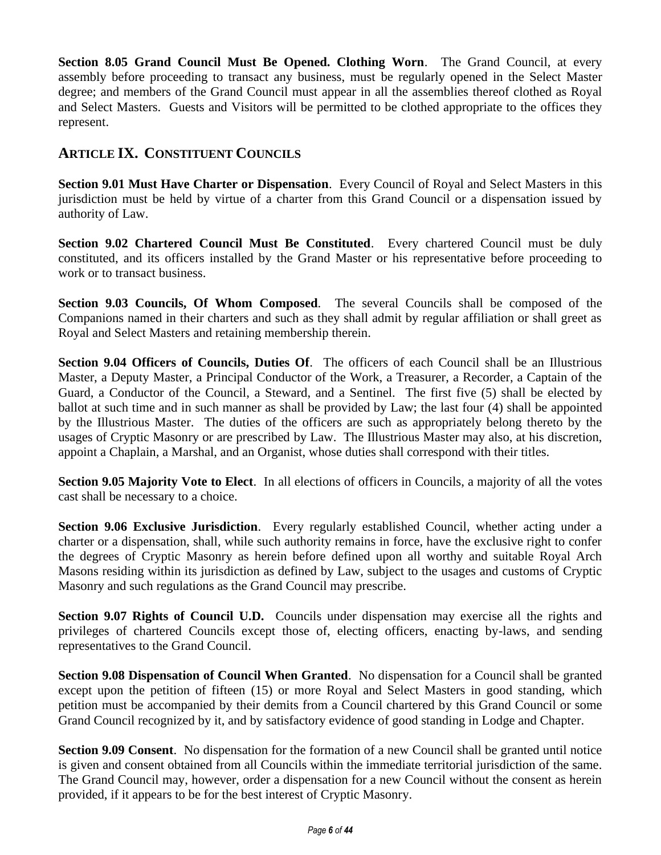**Section 8.05 Grand Council Must Be Opened. Clothing Worn**. The Grand Council, at every assembly before proceeding to transact any business, must be regularly opened in the Select Master degree; and members of the Grand Council must appear in all the assemblies thereof clothed as Royal and Select Masters. Guests and Visitors will be permitted to be clothed appropriate to the offices they represent.

#### **ARTICLE IX. CONSTITUENT COUNCILS**

**Section 9.01 Must Have Charter or Dispensation**. Every Council of Royal and Select Masters in this jurisdiction must be held by virtue of a charter from this Grand Council or a dispensation issued by authority of Law.

**Section 9.02 Chartered Council Must Be Constituted**. Every chartered Council must be duly constituted, and its officers installed by the Grand Master or his representative before proceeding to work or to transact business.

**Section 9.03 Councils, Of Whom Composed**. The several Councils shall be composed of the Companions named in their charters and such as they shall admit by regular affiliation or shall greet as Royal and Select Masters and retaining membership therein.

**Section 9.04 Officers of Councils, Duties Of**. The officers of each Council shall be an Illustrious Master, a Deputy Master, a Principal Conductor of the Work, a Treasurer, a Recorder, a Captain of the Guard, a Conductor of the Council, a Steward, and a Sentinel. The first five (5) shall be elected by ballot at such time and in such manner as shall be provided by Law; the last four (4) shall be appointed by the Illustrious Master. The duties of the officers are such as appropriately belong thereto by the usages of Cryptic Masonry or are prescribed by Law. The Illustrious Master may also, at his discretion, appoint a Chaplain, a Marshal, and an Organist, whose duties shall correspond with their titles.

**Section 9.05 Majority Vote to Elect**. In all elections of officers in Councils, a majority of all the votes cast shall be necessary to a choice.

**Section 9.06 Exclusive Jurisdiction**. Every regularly established Council, whether acting under a charter or a dispensation, shall, while such authority remains in force, have the exclusive right to confer the degrees of Cryptic Masonry as herein before defined upon all worthy and suitable Royal Arch Masons residing within its jurisdiction as defined by Law, subject to the usages and customs of Cryptic Masonry and such regulations as the Grand Council may prescribe.

**Section 9.07 Rights of Council U.D.** Councils under dispensation may exercise all the rights and privileges of chartered Councils except those of, electing officers, enacting by-laws, and sending representatives to the Grand Council.

**Section 9.08 Dispensation of Council When Granted**. No dispensation for a Council shall be granted except upon the petition of fifteen (15) or more Royal and Select Masters in good standing, which petition must be accompanied by their demits from a Council chartered by this Grand Council or some Grand Council recognized by it, and by satisfactory evidence of good standing in Lodge and Chapter.

**Section 9.09 Consent**. No dispensation for the formation of a new Council shall be granted until notice is given and consent obtained from all Councils within the immediate territorial jurisdiction of the same. The Grand Council may, however, order a dispensation for a new Council without the consent as herein provided, if it appears to be for the best interest of Cryptic Masonry.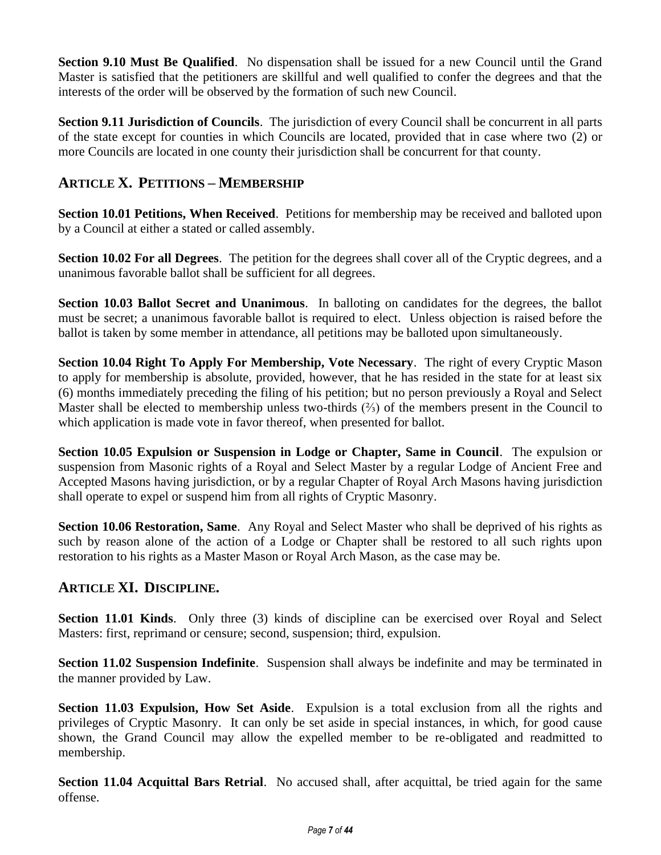**Section 9.10 Must Be Qualified**. No dispensation shall be issued for a new Council until the Grand Master is satisfied that the petitioners are skillful and well qualified to confer the degrees and that the interests of the order will be observed by the formation of such new Council.

**Section 9.11 Jurisdiction of Councils**. The jurisdiction of every Council shall be concurrent in all parts of the state except for counties in which Councils are located, provided that in case where two (2) or more Councils are located in one county their jurisdiction shall be concurrent for that county.

#### **ARTICLE X. PETITIONS – MEMBERSHIP**

**Section 10.01 Petitions, When Received**. Petitions for membership may be received and balloted upon by a Council at either a stated or called assembly.

**Section 10.02 For all Degrees**. The petition for the degrees shall cover all of the Cryptic degrees, and a unanimous favorable ballot shall be sufficient for all degrees.

**Section 10.03 Ballot Secret and Unanimous**. In balloting on candidates for the degrees, the ballot must be secret; a unanimous favorable ballot is required to elect. Unless objection is raised before the ballot is taken by some member in attendance, all petitions may be balloted upon simultaneously.

**Section 10.04 Right To Apply For Membership, Vote Necessary**. The right of every Cryptic Mason to apply for membership is absolute, provided, however, that he has resided in the state for at least six (6) months immediately preceding the filing of his petition; but no person previously a Royal and Select Master shall be elected to membership unless two-thirds (⅔) of the members present in the Council to which application is made vote in favor thereof, when presented for ballot.

**Section 10.05 Expulsion or Suspension in Lodge or Chapter, Same in Council**. The expulsion or suspension from Masonic rights of a Royal and Select Master by a regular Lodge of Ancient Free and Accepted Masons having jurisdiction, or by a regular Chapter of Royal Arch Masons having jurisdiction shall operate to expel or suspend him from all rights of Cryptic Masonry.

**Section 10.06 Restoration, Same**. Any Royal and Select Master who shall be deprived of his rights as such by reason alone of the action of a Lodge or Chapter shall be restored to all such rights upon restoration to his rights as a Master Mason or Royal Arch Mason, as the case may be.

#### **ARTICLE XI. DISCIPLINE.**

**Section 11.01 Kinds**. Only three (3) kinds of discipline can be exercised over Royal and Select Masters: first, reprimand or censure; second, suspension; third, expulsion.

**Section 11.02 Suspension Indefinite**. Suspension shall always be indefinite and may be terminated in the manner provided by Law.

**Section 11.03 Expulsion, How Set Aside**. Expulsion is a total exclusion from all the rights and privileges of Cryptic Masonry. It can only be set aside in special instances, in which, for good cause shown, the Grand Council may allow the expelled member to be re-obligated and readmitted to membership.

**Section 11.04 Acquittal Bars Retrial**. No accused shall, after acquittal, be tried again for the same offense.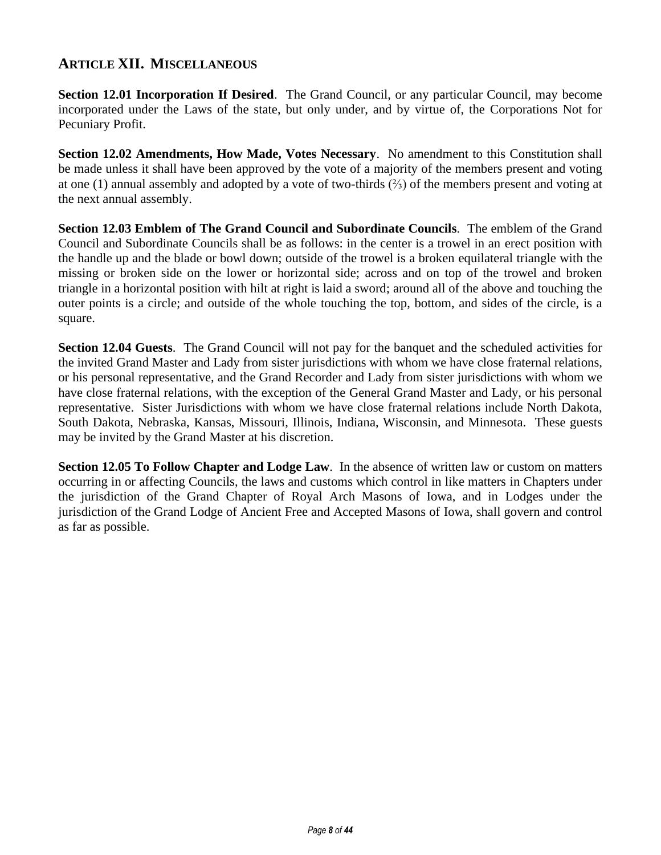#### **ARTICLE XII. MISCELLANEOUS**

**Section 12.01 Incorporation If Desired**. The Grand Council, or any particular Council, may become incorporated under the Laws of the state, but only under, and by virtue of, the Corporations Not for Pecuniary Profit.

**Section 12.02 Amendments, How Made, Votes Necessary**. No amendment to this Constitution shall be made unless it shall have been approved by the vote of a majority of the members present and voting at one (1) annual assembly and adopted by a vote of two-thirds (⅔) of the members present and voting at the next annual assembly.

**Section 12.03 Emblem of The Grand Council and Subordinate Councils**. The emblem of the Grand Council and Subordinate Councils shall be as follows: in the center is a trowel in an erect position with the handle up and the blade or bowl down; outside of the trowel is a broken equilateral triangle with the missing or broken side on the lower or horizontal side; across and on top of the trowel and broken triangle in a horizontal position with hilt at right is laid a sword; around all of the above and touching the outer points is a circle; and outside of the whole touching the top, bottom, and sides of the circle, is a square.

**Section 12.04 Guests**. The Grand Council will not pay for the banquet and the scheduled activities for the invited Grand Master and Lady from sister jurisdictions with whom we have close fraternal relations, or his personal representative, and the Grand Recorder and Lady from sister jurisdictions with whom we have close fraternal relations, with the exception of the General Grand Master and Lady, or his personal representative. Sister Jurisdictions with whom we have close fraternal relations include North Dakota, South Dakota, Nebraska, Kansas, Missouri, Illinois, Indiana, Wisconsin, and Minnesota. These guests may be invited by the Grand Master at his discretion.

**Section 12.05 To Follow Chapter and Lodge Law**. In the absence of written law or custom on matters occurring in or affecting Councils, the laws and customs which control in like matters in Chapters under the jurisdiction of the Grand Chapter of Royal Arch Masons of Iowa, and in Lodges under the jurisdiction of the Grand Lodge of Ancient Free and Accepted Masons of Iowa, shall govern and control as far as possible.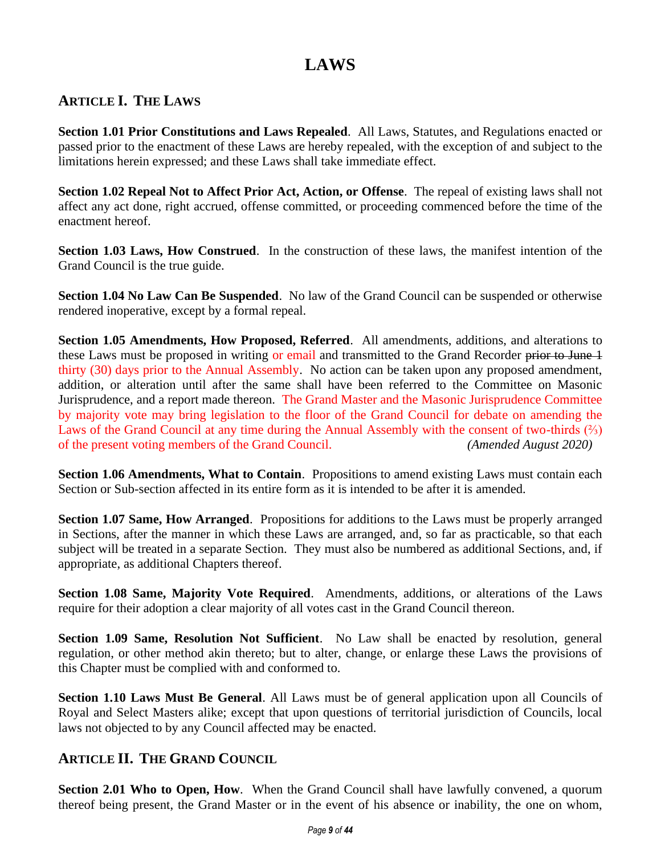# **LAWS**

#### **ARTICLE I. THE LAWS**

**Section 1.01 Prior Constitutions and Laws Repealed**. All Laws, Statutes, and Regulations enacted or passed prior to the enactment of these Laws are hereby repealed, with the exception of and subject to the limitations herein expressed; and these Laws shall take immediate effect.

**Section 1.02 Repeal Not to Affect Prior Act, Action, or Offense**. The repeal of existing laws shall not affect any act done, right accrued, offense committed, or proceeding commenced before the time of the enactment hereof.

**Section 1.03 Laws, How Construed**. In the construction of these laws, the manifest intention of the Grand Council is the true guide.

**Section 1.04 No Law Can Be Suspended**. No law of the Grand Council can be suspended or otherwise rendered inoperative, except by a formal repeal.

**Section 1.05 Amendments, How Proposed, Referred**. All amendments, additions, and alterations to these Laws must be proposed in writing or email and transmitted to the Grand Recorder prior to June 1 thirty (30) days prior to the Annual Assembly. No action can be taken upon any proposed amendment, addition, or alteration until after the same shall have been referred to the Committee on Masonic Jurisprudence, and a report made thereon. The Grand Master and the Masonic Jurisprudence Committee by majority vote may bring legislation to the floor of the Grand Council for debate on amending the Laws of the Grand Council at any time during the Annual Assembly with the consent of two-thirds (⅔) of the present voting members of the Grand Council. *(Amended August 2020)*

**Section 1.06 Amendments, What to Contain**. Propositions to amend existing Laws must contain each Section or Sub-section affected in its entire form as it is intended to be after it is amended.

**Section 1.07 Same, How Arranged**. Propositions for additions to the Laws must be properly arranged in Sections, after the manner in which these Laws are arranged, and, so far as practicable, so that each subject will be treated in a separate Section. They must also be numbered as additional Sections, and, if appropriate, as additional Chapters thereof.

**Section 1.08 Same, Majority Vote Required**. Amendments, additions, or alterations of the Laws require for their adoption a clear majority of all votes cast in the Grand Council thereon.

**Section 1.09 Same, Resolution Not Sufficient**. No Law shall be enacted by resolution, general regulation, or other method akin thereto; but to alter, change, or enlarge these Laws the provisions of this Chapter must be complied with and conformed to.

**Section 1.10 Laws Must Be General**. All Laws must be of general application upon all Councils of Royal and Select Masters alike; except that upon questions of territorial jurisdiction of Councils, local laws not objected to by any Council affected may be enacted.

### **ARTICLE II. THE GRAND COUNCIL**

**Section 2.01 Who to Open, How**. When the Grand Council shall have lawfully convened, a quorum thereof being present, the Grand Master or in the event of his absence or inability, the one on whom,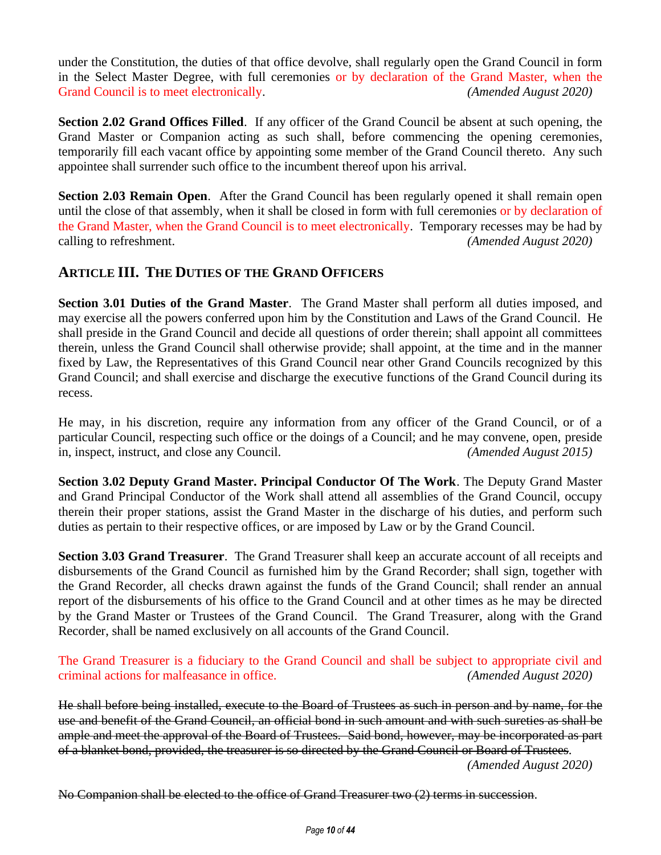under the Constitution, the duties of that office devolve, shall regularly open the Grand Council in form in the Select Master Degree, with full ceremonies or by declaration of the Grand Master, when the Grand Council is to meet electronically. *(Amended August 2020)* 

**Section 2.02 Grand Offices Filled.** If any officer of the Grand Council be absent at such opening, the Grand Master or Companion acting as such shall, before commencing the opening ceremonies, temporarily fill each vacant office by appointing some member of the Grand Council thereto. Any such appointee shall surrender such office to the incumbent thereof upon his arrival.

**Section 2.03 Remain Open.** After the Grand Council has been regularly opened it shall remain open until the close of that assembly, when it shall be closed in form with full ceremonies or by declaration of the Grand Master, when the Grand Council is to meet electronically. Temporary recesses may be had by calling to refreshment. *(Amended August 2020)*

#### **ARTICLE III. THE DUTIES OF THE GRAND OFFICERS**

**Section 3.01 Duties of the Grand Master**. The Grand Master shall perform all duties imposed, and may exercise all the powers conferred upon him by the Constitution and Laws of the Grand Council. He shall preside in the Grand Council and decide all questions of order therein; shall appoint all committees therein, unless the Grand Council shall otherwise provide; shall appoint, at the time and in the manner fixed by Law, the Representatives of this Grand Council near other Grand Councils recognized by this Grand Council; and shall exercise and discharge the executive functions of the Grand Council during its recess.

He may, in his discretion, require any information from any officer of the Grand Council, or of a particular Council, respecting such office or the doings of a Council; and he may convene, open, preside in, inspect, instruct, and close any Council. *(Amended August 2015)*

**Section 3.02 Deputy Grand Master. Principal Conductor Of The Work**. The Deputy Grand Master and Grand Principal Conductor of the Work shall attend all assemblies of the Grand Council, occupy therein their proper stations, assist the Grand Master in the discharge of his duties, and perform such duties as pertain to their respective offices, or are imposed by Law or by the Grand Council.

**Section 3.03 Grand Treasurer**. The Grand Treasurer shall keep an accurate account of all receipts and disbursements of the Grand Council as furnished him by the Grand Recorder; shall sign, together with the Grand Recorder, all checks drawn against the funds of the Grand Council; shall render an annual report of the disbursements of his office to the Grand Council and at other times as he may be directed by the Grand Master or Trustees of the Grand Council. The Grand Treasurer, along with the Grand Recorder, shall be named exclusively on all accounts of the Grand Council.

The Grand Treasurer is a fiduciary to the Grand Council and shall be subject to appropriate civil and criminal actions for malfeasance in office. *(Amended August 2020)*

He shall before being installed, execute to the Board of Trustees as such in person and by name, for the use and benefit of the Grand Council, an official bond in such amount and with such sureties as shall be ample and meet the approval of the Board of Trustees. Said bond, however, may be incorporated as part of a blanket bond, provided, the treasurer is so directed by the Grand Council or Board of Trustees.

*(Amended August 2020)*

No Companion shall be elected to the office of Grand Treasurer two (2) terms in succession.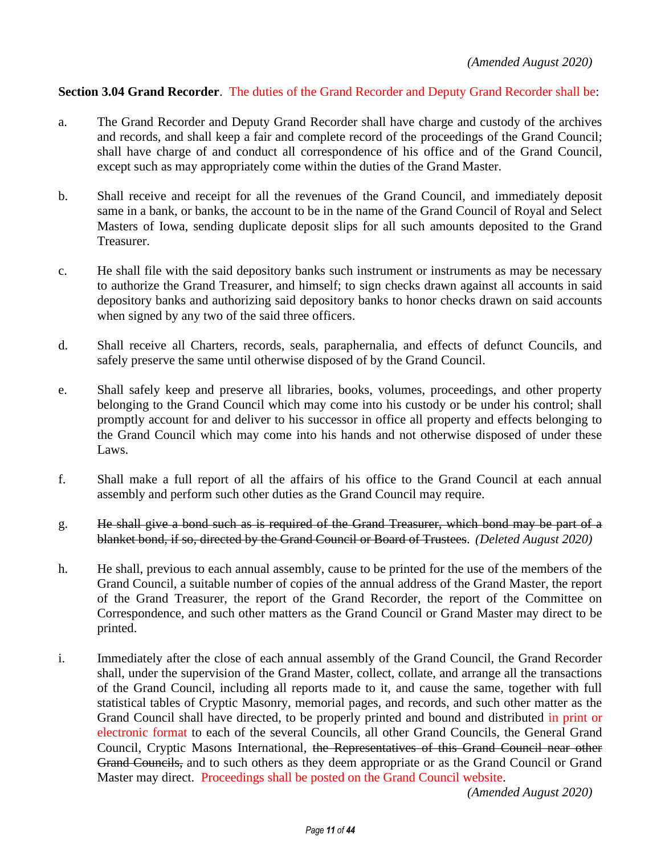#### **Section 3.04 Grand Recorder**. The duties of the Grand Recorder and Deputy Grand Recorder shall be:

- a. The Grand Recorder and Deputy Grand Recorder shall have charge and custody of the archives and records, and shall keep a fair and complete record of the proceedings of the Grand Council; shall have charge of and conduct all correspondence of his office and of the Grand Council, except such as may appropriately come within the duties of the Grand Master.
- b. Shall receive and receipt for all the revenues of the Grand Council, and immediately deposit same in a bank, or banks, the account to be in the name of the Grand Council of Royal and Select Masters of Iowa, sending duplicate deposit slips for all such amounts deposited to the Grand Treasurer.
- c. He shall file with the said depository banks such instrument or instruments as may be necessary to authorize the Grand Treasurer, and himself; to sign checks drawn against all accounts in said depository banks and authorizing said depository banks to honor checks drawn on said accounts when signed by any two of the said three officers.
- d. Shall receive all Charters, records, seals, paraphernalia, and effects of defunct Councils, and safely preserve the same until otherwise disposed of by the Grand Council.
- e. Shall safely keep and preserve all libraries, books, volumes, proceedings, and other property belonging to the Grand Council which may come into his custody or be under his control; shall promptly account for and deliver to his successor in office all property and effects belonging to the Grand Council which may come into his hands and not otherwise disposed of under these Laws.
- f. Shall make a full report of all the affairs of his office to the Grand Council at each annual assembly and perform such other duties as the Grand Council may require.
- g. He shall give a bond such as is required of the Grand Treasurer, which bond may be part of a blanket bond, if so, directed by the Grand Council or Board of Trustees. *(Deleted August 2020)*
- h. He shall, previous to each annual assembly, cause to be printed for the use of the members of the Grand Council, a suitable number of copies of the annual address of the Grand Master, the report of the Grand Treasurer, the report of the Grand Recorder, the report of the Committee on Correspondence, and such other matters as the Grand Council or Grand Master may direct to be printed.
- i. Immediately after the close of each annual assembly of the Grand Council, the Grand Recorder shall, under the supervision of the Grand Master, collect, collate, and arrange all the transactions of the Grand Council, including all reports made to it, and cause the same, together with full statistical tables of Cryptic Masonry, memorial pages, and records, and such other matter as the Grand Council shall have directed, to be properly printed and bound and distributed in print or electronic format to each of the several Councils, all other Grand Councils, the General Grand Council, Cryptic Masons International, the Representatives of this Grand Council near other Grand Councils, and to such others as they deem appropriate or as the Grand Council or Grand Master may direct. Proceedings shall be posted on the Grand Council website.

*(Amended August 2020)*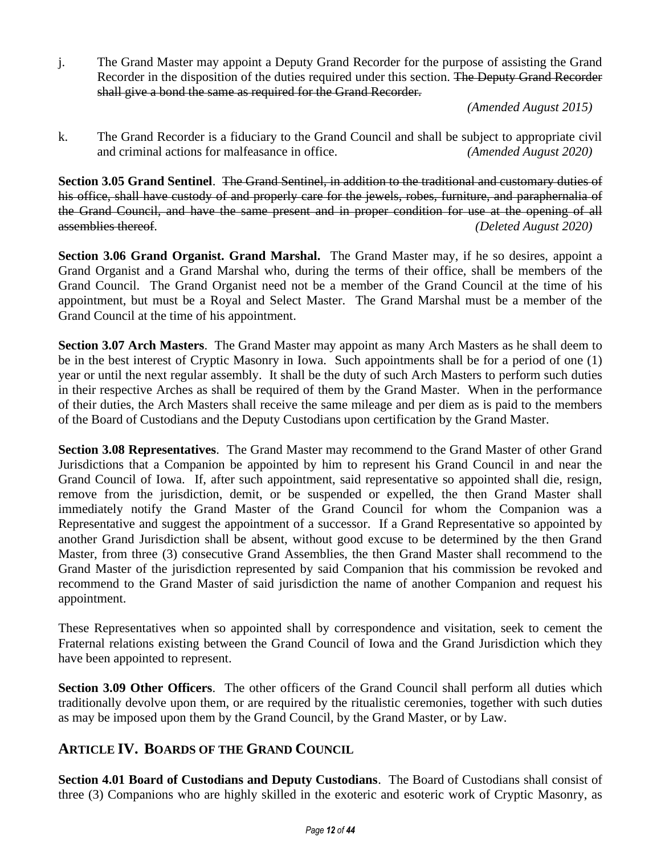j. The Grand Master may appoint a Deputy Grand Recorder for the purpose of assisting the Grand Recorder in the disposition of the duties required under this section. The Deputy Grand Recorder shall give a bond the same as required for the Grand Recorder.

*(Amended August 2015)*

k. The Grand Recorder is a fiduciary to the Grand Council and shall be subject to appropriate civil and criminal actions for malfeasance in office. *(Amended August 2020)*

**Section 3.05 Grand Sentinel**. The Grand Sentinel, in addition to the traditional and customary duties of his office, shall have custody of and properly care for the jewels, robes, furniture, and paraphernalia of the Grand Council, and have the same present and in proper condition for use at the opening of all assemblies thereof. *(Deleted August 2020)*

**Section 3.06 Grand Organist. Grand Marshal.** The Grand Master may, if he so desires, appoint a Grand Organist and a Grand Marshal who, during the terms of their office, shall be members of the Grand Council. The Grand Organist need not be a member of the Grand Council at the time of his appointment, but must be a Royal and Select Master. The Grand Marshal must be a member of the Grand Council at the time of his appointment.

**Section 3.07 Arch Masters**. The Grand Master may appoint as many Arch Masters as he shall deem to be in the best interest of Cryptic Masonry in Iowa. Such appointments shall be for a period of one (1) year or until the next regular assembly. It shall be the duty of such Arch Masters to perform such duties in their respective Arches as shall be required of them by the Grand Master. When in the performance of their duties, the Arch Masters shall receive the same mileage and per diem as is paid to the members of the Board of Custodians and the Deputy Custodians upon certification by the Grand Master.

**Section 3.08 Representatives**. The Grand Master may recommend to the Grand Master of other Grand Jurisdictions that a Companion be appointed by him to represent his Grand Council in and near the Grand Council of Iowa. If, after such appointment, said representative so appointed shall die, resign, remove from the jurisdiction, demit, or be suspended or expelled, the then Grand Master shall immediately notify the Grand Master of the Grand Council for whom the Companion was a Representative and suggest the appointment of a successor. If a Grand Representative so appointed by another Grand Jurisdiction shall be absent, without good excuse to be determined by the then Grand Master, from three (3) consecutive Grand Assemblies, the then Grand Master shall recommend to the Grand Master of the jurisdiction represented by said Companion that his commission be revoked and recommend to the Grand Master of said jurisdiction the name of another Companion and request his appointment.

These Representatives when so appointed shall by correspondence and visitation, seek to cement the Fraternal relations existing between the Grand Council of Iowa and the Grand Jurisdiction which they have been appointed to represent.

**Section 3.09 Other Officers**. The other officers of the Grand Council shall perform all duties which traditionally devolve upon them, or are required by the ritualistic ceremonies, together with such duties as may be imposed upon them by the Grand Council, by the Grand Master, or by Law.

#### **ARTICLE IV. BOARDS OF THE GRAND COUNCIL**

**Section 4.01 Board of Custodians and Deputy Custodians**. The Board of Custodians shall consist of three (3) Companions who are highly skilled in the exoteric and esoteric work of Cryptic Masonry, as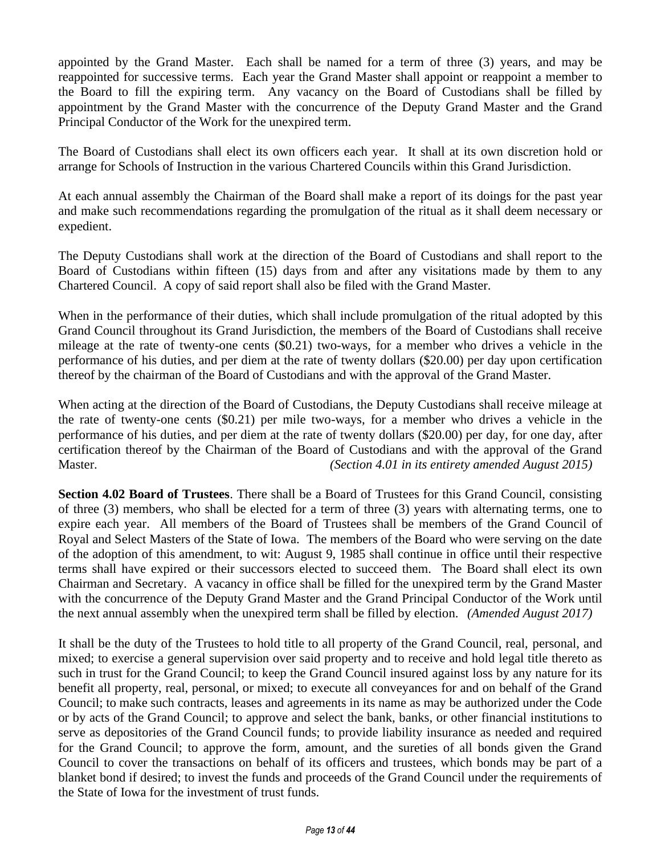appointed by the Grand Master. Each shall be named for a term of three (3) years, and may be reappointed for successive terms. Each year the Grand Master shall appoint or reappoint a member to the Board to fill the expiring term. Any vacancy on the Board of Custodians shall be filled by appointment by the Grand Master with the concurrence of the Deputy Grand Master and the Grand Principal Conductor of the Work for the unexpired term.

The Board of Custodians shall elect its own officers each year. It shall at its own discretion hold or arrange for Schools of Instruction in the various Chartered Councils within this Grand Jurisdiction.

At each annual assembly the Chairman of the Board shall make a report of its doings for the past year and make such recommendations regarding the promulgation of the ritual as it shall deem necessary or expedient.

The Deputy Custodians shall work at the direction of the Board of Custodians and shall report to the Board of Custodians within fifteen (15) days from and after any visitations made by them to any Chartered Council. A copy of said report shall also be filed with the Grand Master.

When in the performance of their duties, which shall include promulgation of the ritual adopted by this Grand Council throughout its Grand Jurisdiction, the members of the Board of Custodians shall receive mileage at the rate of twenty-one cents (\$0.21) two-ways, for a member who drives a vehicle in the performance of his duties, and per diem at the rate of twenty dollars (\$20.00) per day upon certification thereof by the chairman of the Board of Custodians and with the approval of the Grand Master.

When acting at the direction of the Board of Custodians, the Deputy Custodians shall receive mileage at the rate of twenty-one cents (\$0.21) per mile two-ways, for a member who drives a vehicle in the performance of his duties, and per diem at the rate of twenty dollars (\$20.00) per day, for one day, after certification thereof by the Chairman of the Board of Custodians and with the approval of the Grand Master. *(Section 4.01 in its entirety amended August 2015)*

**Section 4.02 Board of Trustees**. There shall be a Board of Trustees for this Grand Council, consisting of three (3) members, who shall be elected for a term of three (3) years with alternating terms, one to expire each year. All members of the Board of Trustees shall be members of the Grand Council of Royal and Select Masters of the State of Iowa. The members of the Board who were serving on the date of the adoption of this amendment, to wit: August 9, 1985 shall continue in office until their respective terms shall have expired or their successors elected to succeed them. The Board shall elect its own Chairman and Secretary. A vacancy in office shall be filled for the unexpired term by the Grand Master with the concurrence of the Deputy Grand Master and the Grand Principal Conductor of the Work until the next annual assembly when the unexpired term shall be filled by election. *(Amended August 2017)*

It shall be the duty of the Trustees to hold title to all property of the Grand Council, real, personal, and mixed; to exercise a general supervision over said property and to receive and hold legal title thereto as such in trust for the Grand Council; to keep the Grand Council insured against loss by any nature for its benefit all property, real, personal, or mixed; to execute all conveyances for and on behalf of the Grand Council; to make such contracts, leases and agreements in its name as may be authorized under the Code or by acts of the Grand Council; to approve and select the bank, banks, or other financial institutions to serve as depositories of the Grand Council funds; to provide liability insurance as needed and required for the Grand Council; to approve the form, amount, and the sureties of all bonds given the Grand Council to cover the transactions on behalf of its officers and trustees, which bonds may be part of a blanket bond if desired; to invest the funds and proceeds of the Grand Council under the requirements of the State of Iowa for the investment of trust funds.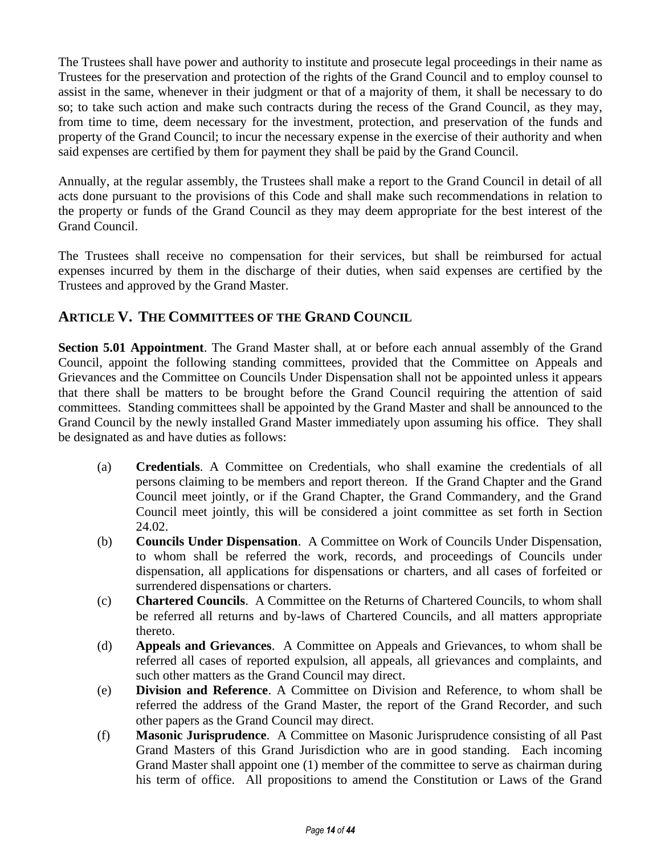The Trustees shall have power and authority to institute and prosecute legal proceedings in their name as Trustees for the preservation and protection of the rights of the Grand Council and to employ counsel to assist in the same, whenever in their judgment or that of a majority of them, it shall be necessary to do so; to take such action and make such contracts during the recess of the Grand Council, as they may, from time to time, deem necessary for the investment, protection, and preservation of the funds and property of the Grand Council; to incur the necessary expense in the exercise of their authority and when said expenses are certified by them for payment they shall be paid by the Grand Council.

Annually, at the regular assembly, the Trustees shall make a report to the Grand Council in detail of all acts done pursuant to the provisions of this Code and shall make such recommendations in relation to the property or funds of the Grand Council as they may deem appropriate for the best interest of the Grand Council.

The Trustees shall receive no compensation for their services, but shall be reimbursed for actual expenses incurred by them in the discharge of their duties, when said expenses are certified by the Trustees and approved by the Grand Master.

#### **ARTICLE V. THE COMMITTEES OF THE GRAND COUNCIL**

**Section 5.01 Appointment**. The Grand Master shall, at or before each annual assembly of the Grand Council, appoint the following standing committees, provided that the Committee on Appeals and Grievances and the Committee on Councils Under Dispensation shall not be appointed unless it appears that there shall be matters to be brought before the Grand Council requiring the attention of said committees. Standing committees shall be appointed by the Grand Master and shall be announced to the Grand Council by the newly installed Grand Master immediately upon assuming his office. They shall be designated as and have duties as follows:

- (a) **Credentials**. A Committee on Credentials, who shall examine the credentials of all persons claiming to be members and report thereon. If the Grand Chapter and the Grand Council meet jointly, or if the Grand Chapter, the Grand Commandery, and the Grand Council meet jointly, this will be considered a joint committee as set forth in Section 24.02.
- (b) **Councils Under Dispensation**. A Committee on Work of Councils Under Dispensation, to whom shall be referred the work, records, and proceedings of Councils under dispensation, all applications for dispensations or charters, and all cases of forfeited or surrendered dispensations or charters.
- (c) **Chartered Councils**. A Committee on the Returns of Chartered Councils, to whom shall be referred all returns and by-laws of Chartered Councils, and all matters appropriate thereto.
- (d) **Appeals and Grievances**. A Committee on Appeals and Grievances, to whom shall be referred all cases of reported expulsion, all appeals, all grievances and complaints, and such other matters as the Grand Council may direct.
- (e) **Division and Reference**. A Committee on Division and Reference, to whom shall be referred the address of the Grand Master, the report of the Grand Recorder, and such other papers as the Grand Council may direct.
- (f) **Masonic Jurisprudence**. A Committee on Masonic Jurisprudence consisting of all Past Grand Masters of this Grand Jurisdiction who are in good standing. Each incoming Grand Master shall appoint one (1) member of the committee to serve as chairman during his term of office. All propositions to amend the Constitution or Laws of the Grand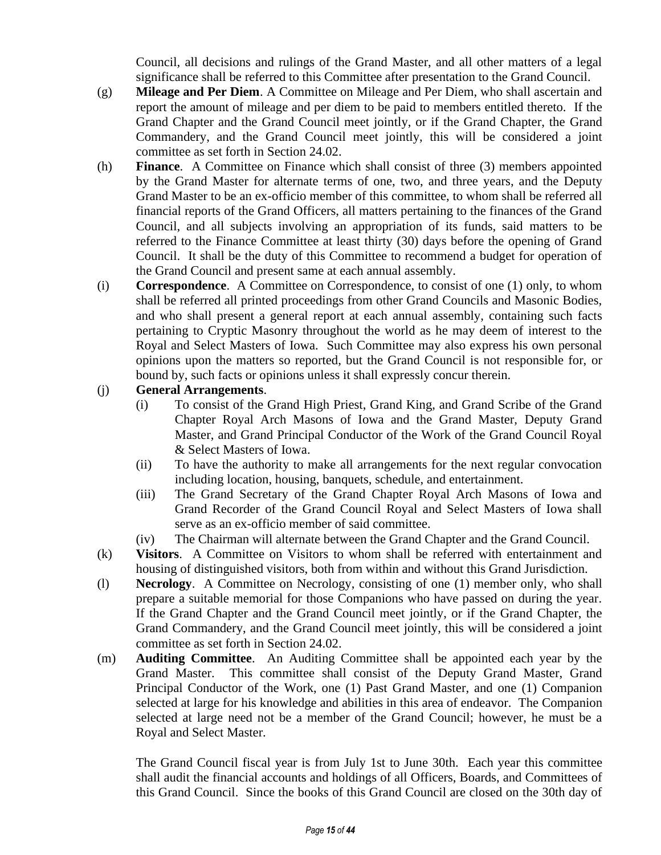Council, all decisions and rulings of the Grand Master, and all other matters of a legal significance shall be referred to this Committee after presentation to the Grand Council.

- (g) **Mileage and Per Diem**. A Committee on Mileage and Per Diem, who shall ascertain and report the amount of mileage and per diem to be paid to members entitled thereto. If the Grand Chapter and the Grand Council meet jointly, or if the Grand Chapter, the Grand Commandery, and the Grand Council meet jointly, this will be considered a joint committee as set forth in Section 24.02.
- (h) **Finance**. A Committee on Finance which shall consist of three (3) members appointed by the Grand Master for alternate terms of one, two, and three years, and the Deputy Grand Master to be an ex-officio member of this committee, to whom shall be referred all financial reports of the Grand Officers, all matters pertaining to the finances of the Grand Council, and all subjects involving an appropriation of its funds, said matters to be referred to the Finance Committee at least thirty (30) days before the opening of Grand Council. It shall be the duty of this Committee to recommend a budget for operation of the Grand Council and present same at each annual assembly.
- (i) **Correspondence**. A Committee on Correspondence, to consist of one (1) only, to whom shall be referred all printed proceedings from other Grand Councils and Masonic Bodies, and who shall present a general report at each annual assembly, containing such facts pertaining to Cryptic Masonry throughout the world as he may deem of interest to the Royal and Select Masters of Iowa. Such Committee may also express his own personal opinions upon the matters so reported, but the Grand Council is not responsible for, or bound by, such facts or opinions unless it shall expressly concur therein.
- (j) **General Arrangements**.
	- (i) To consist of the Grand High Priest, Grand King, and Grand Scribe of the Grand Chapter Royal Arch Masons of Iowa and the Grand Master, Deputy Grand Master, and Grand Principal Conductor of the Work of the Grand Council Royal & Select Masters of Iowa.
	- (ii) To have the authority to make all arrangements for the next regular convocation including location, housing, banquets, schedule, and entertainment.
	- (iii) The Grand Secretary of the Grand Chapter Royal Arch Masons of Iowa and Grand Recorder of the Grand Council Royal and Select Masters of Iowa shall serve as an ex-officio member of said committee.
	- (iv) The Chairman will alternate between the Grand Chapter and the Grand Council.
- (k) **Visitors**. A Committee on Visitors to whom shall be referred with entertainment and housing of distinguished visitors, both from within and without this Grand Jurisdiction.
- (l) **Necrology**. A Committee on Necrology, consisting of one (1) member only, who shall prepare a suitable memorial for those Companions who have passed on during the year. If the Grand Chapter and the Grand Council meet jointly, or if the Grand Chapter, the Grand Commandery, and the Grand Council meet jointly, this will be considered a joint committee as set forth in Section 24.02.
- (m) **Auditing Committee**. An Auditing Committee shall be appointed each year by the Grand Master. This committee shall consist of the Deputy Grand Master, Grand Principal Conductor of the Work, one (1) Past Grand Master, and one (1) Companion selected at large for his knowledge and abilities in this area of endeavor. The Companion selected at large need not be a member of the Grand Council; however, he must be a Royal and Select Master.

The Grand Council fiscal year is from July 1st to June 30th. Each year this committee shall audit the financial accounts and holdings of all Officers, Boards, and Committees of this Grand Council. Since the books of this Grand Council are closed on the 30th day of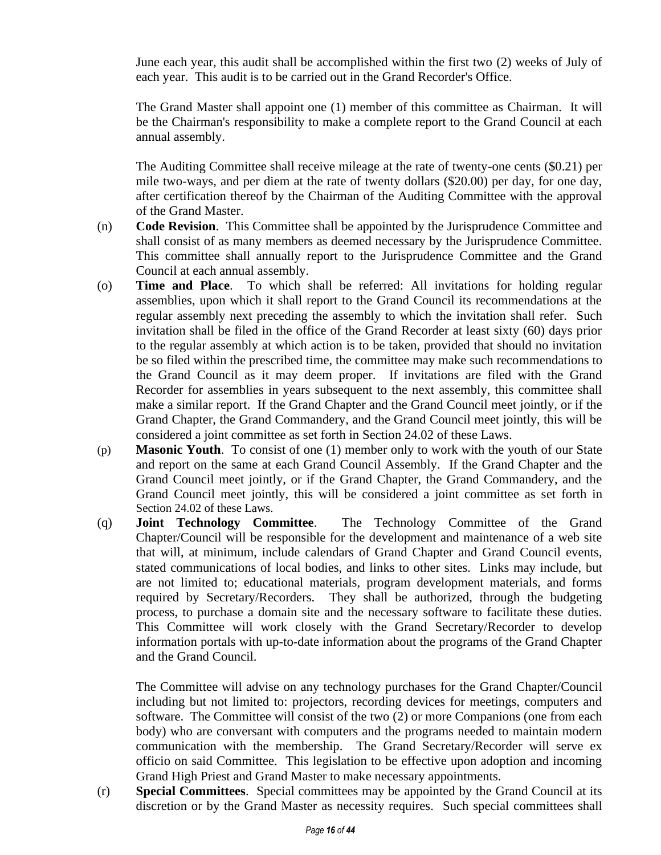June each year, this audit shall be accomplished within the first two (2) weeks of July of each year. This audit is to be carried out in the Grand Recorder's Office.

The Grand Master shall appoint one (1) member of this committee as Chairman. It will be the Chairman's responsibility to make a complete report to the Grand Council at each annual assembly.

The Auditing Committee shall receive mileage at the rate of twenty-one cents (\$0.21) per mile two-ways, and per diem at the rate of twenty dollars (\$20.00) per day, for one day, after certification thereof by the Chairman of the Auditing Committee with the approval of the Grand Master.

- (n) **Code Revision**. This Committee shall be appointed by the Jurisprudence Committee and shall consist of as many members as deemed necessary by the Jurisprudence Committee. This committee shall annually report to the Jurisprudence Committee and the Grand Council at each annual assembly.
- (o) **Time and Place**. To which shall be referred: All invitations for holding regular assemblies, upon which it shall report to the Grand Council its recommendations at the regular assembly next preceding the assembly to which the invitation shall refer. Such invitation shall be filed in the office of the Grand Recorder at least sixty (60) days prior to the regular assembly at which action is to be taken, provided that should no invitation be so filed within the prescribed time, the committee may make such recommendations to the Grand Council as it may deem proper. If invitations are filed with the Grand Recorder for assemblies in years subsequent to the next assembly, this committee shall make a similar report. If the Grand Chapter and the Grand Council meet jointly, or if the Grand Chapter, the Grand Commandery, and the Grand Council meet jointly, this will be considered a joint committee as set forth in Section 24.02 of these Laws.
- (p) **Masonic Youth**. To consist of one (1) member only to work with the youth of our State and report on the same at each Grand Council Assembly. If the Grand Chapter and the Grand Council meet jointly, or if the Grand Chapter, the Grand Commandery, and the Grand Council meet jointly, this will be considered a joint committee as set forth in Section 24.02 of these Laws.
- (q) **Joint Technology Committee**. The Technology Committee of the Grand Chapter/Council will be responsible for the development and maintenance of a web site that will, at minimum, include calendars of Grand Chapter and Grand Council events, stated communications of local bodies, and links to other sites. Links may include, but are not limited to; educational materials, program development materials, and forms required by Secretary/Recorders. They shall be authorized, through the budgeting process, to purchase a domain site and the necessary software to facilitate these duties. This Committee will work closely with the Grand Secretary/Recorder to develop information portals with up-to-date information about the programs of the Grand Chapter and the Grand Council.

The Committee will advise on any technology purchases for the Grand Chapter/Council including but not limited to: projectors, recording devices for meetings, computers and software. The Committee will consist of the two (2) or more Companions (one from each body) who are conversant with computers and the programs needed to maintain modern communication with the membership. The Grand Secretary/Recorder will serve ex officio on said Committee. This legislation to be effective upon adoption and incoming Grand High Priest and Grand Master to make necessary appointments.

(r) **Special Committees**. Special committees may be appointed by the Grand Council at its discretion or by the Grand Master as necessity requires. Such special committees shall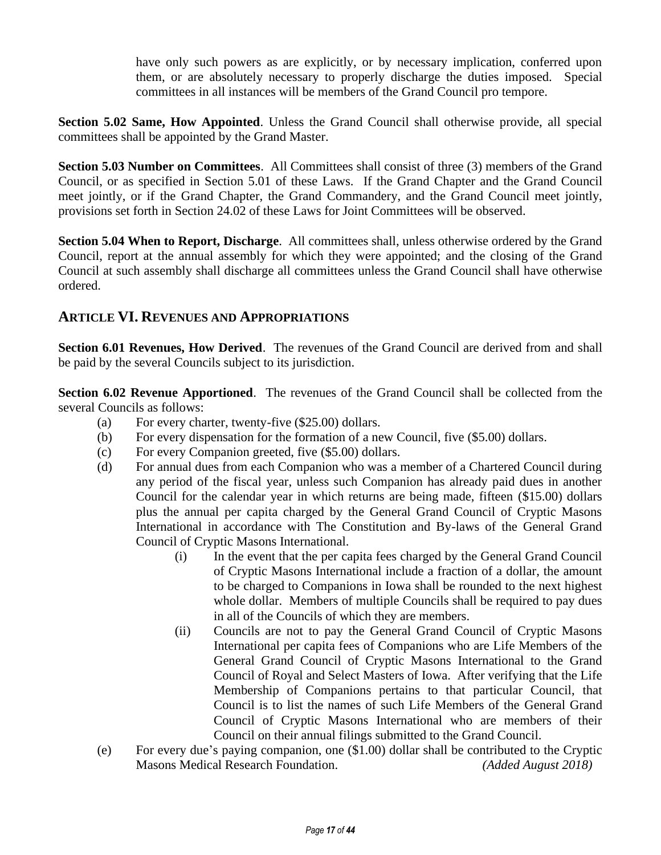have only such powers as are explicitly, or by necessary implication, conferred upon them, or are absolutely necessary to properly discharge the duties imposed. Special committees in all instances will be members of the Grand Council pro tempore.

**Section 5.02 Same, How Appointed**. Unless the Grand Council shall otherwise provide, all special committees shall be appointed by the Grand Master.

**Section 5.03 Number on Committees**. All Committees shall consist of three (3) members of the Grand Council, or as specified in Section 5.01 of these Laws. If the Grand Chapter and the Grand Council meet jointly, or if the Grand Chapter, the Grand Commandery, and the Grand Council meet jointly, provisions set forth in Section 24.02 of these Laws for Joint Committees will be observed.

**Section 5.04 When to Report, Discharge**. All committees shall, unless otherwise ordered by the Grand Council, report at the annual assembly for which they were appointed; and the closing of the Grand Council at such assembly shall discharge all committees unless the Grand Council shall have otherwise ordered.

#### **ARTICLE VI. REVENUES AND APPROPRIATIONS**

**Section 6.01 Revenues, How Derived**. The revenues of the Grand Council are derived from and shall be paid by the several Councils subject to its jurisdiction.

**Section 6.02 Revenue Apportioned**. The revenues of the Grand Council shall be collected from the several Councils as follows:

- (a) For every charter, twenty-five (\$25.00) dollars.
- (b) For every dispensation for the formation of a new Council, five (\$5.00) dollars.
- (c) For every Companion greeted, five (\$5.00) dollars.
- (d) For annual dues from each Companion who was a member of a Chartered Council during any period of the fiscal year, unless such Companion has already paid dues in another Council for the calendar year in which returns are being made, fifteen (\$15.00) dollars plus the annual per capita charged by the General Grand Council of Cryptic Masons International in accordance with The Constitution and By-laws of the General Grand Council of Cryptic Masons International.
	- (i) In the event that the per capita fees charged by the General Grand Council of Cryptic Masons International include a fraction of a dollar, the amount to be charged to Companions in Iowa shall be rounded to the next highest whole dollar. Members of multiple Councils shall be required to pay dues in all of the Councils of which they are members.
	- (ii) Councils are not to pay the General Grand Council of Cryptic Masons International per capita fees of Companions who are Life Members of the General Grand Council of Cryptic Masons International to the Grand Council of Royal and Select Masters of Iowa. After verifying that the Life Membership of Companions pertains to that particular Council, that Council is to list the names of such Life Members of the General Grand Council of Cryptic Masons International who are members of their Council on their annual filings submitted to the Grand Council.
- (e) For every due's paying companion, one (\$1.00) dollar shall be contributed to the Cryptic Masons Medical Research Foundation. *(Added August 2018)*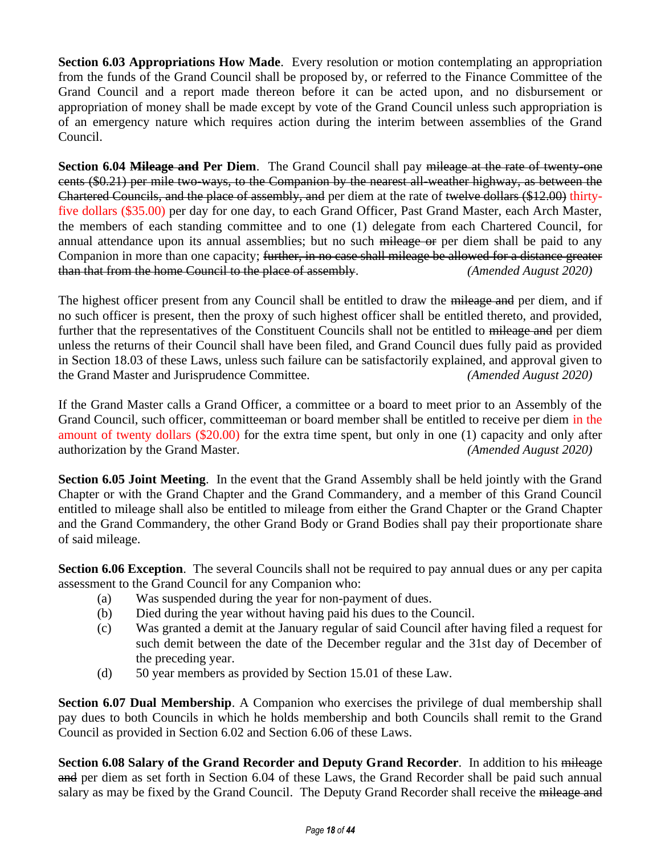**Section 6.03 Appropriations How Made**. Every resolution or motion contemplating an appropriation from the funds of the Grand Council shall be proposed by, or referred to the Finance Committee of the Grand Council and a report made thereon before it can be acted upon, and no disbursement or appropriation of money shall be made except by vote of the Grand Council unless such appropriation is of an emergency nature which requires action during the interim between assemblies of the Grand Council.

**Section 6.04 Mileage and Per Diem.** The Grand Council shall pay mileage at the rate of twenty-one cents (\$0.21) per mile two-ways, to the Companion by the nearest all-weather highway, as between the Chartered Councils, and the place of assembly, and per diem at the rate of twelve dollars (\$12.00) thirtyfive dollars (\$35.00) per day for one day, to each Grand Officer, Past Grand Master, each Arch Master, the members of each standing committee and to one (1) delegate from each Chartered Council, for annual attendance upon its annual assemblies; but no such mileage or per diem shall be paid to any Companion in more than one capacity; <del>further, in no case shall mileage be allowed for a distance greater</del> than that from the home Council to the place of assembly. *(Amended August 2020)*

The highest officer present from any Council shall be entitled to draw the mileage and per diem, and if no such officer is present, then the proxy of such highest officer shall be entitled thereto, and provided, further that the representatives of the Constituent Councils shall not be entitled to mileage and per diem unless the returns of their Council shall have been filed, and Grand Council dues fully paid as provided in Section 18.03 of these Laws, unless such failure can be satisfactorily explained, and approval given to the Grand Master and Jurisprudence Committee. *(Amended August 2020)*

If the Grand Master calls a Grand Officer, a committee or a board to meet prior to an Assembly of the Grand Council, such officer, committeeman or board member shall be entitled to receive per diem in the amount of twenty dollars (\$20.00) for the extra time spent, but only in one (1) capacity and only after authorization by the Grand Master. *(Amended August 2020)*

**Section 6.05 Joint Meeting.** In the event that the Grand Assembly shall be held jointly with the Grand Chapter or with the Grand Chapter and the Grand Commandery, and a member of this Grand Council entitled to mileage shall also be entitled to mileage from either the Grand Chapter or the Grand Chapter and the Grand Commandery, the other Grand Body or Grand Bodies shall pay their proportionate share of said mileage.

**Section 6.06 Exception.** The several Councils shall not be required to pay annual dues or any per capita assessment to the Grand Council for any Companion who:

- (a) Was suspended during the year for non-payment of dues.
- (b) Died during the year without having paid his dues to the Council.
- (c) Was granted a demit at the January regular of said Council after having filed a request for such demit between the date of the December regular and the 31st day of December of the preceding year.
- (d) 50 year members as provided by Section 15.01 of these Law.

**Section 6.07 Dual Membership.** A Companion who exercises the privilege of dual membership shall pay dues to both Councils in which he holds membership and both Councils shall remit to the Grand Council as provided in Section 6.02 and Section 6.06 of these Laws.

**Section 6.08 Salary of the Grand Recorder and Deputy Grand Recorder**. In addition to his mileage and per diem as set forth in Section 6.04 of these Laws, the Grand Recorder shall be paid such annual salary as may be fixed by the Grand Council. The Deputy Grand Recorder shall receive the mileage and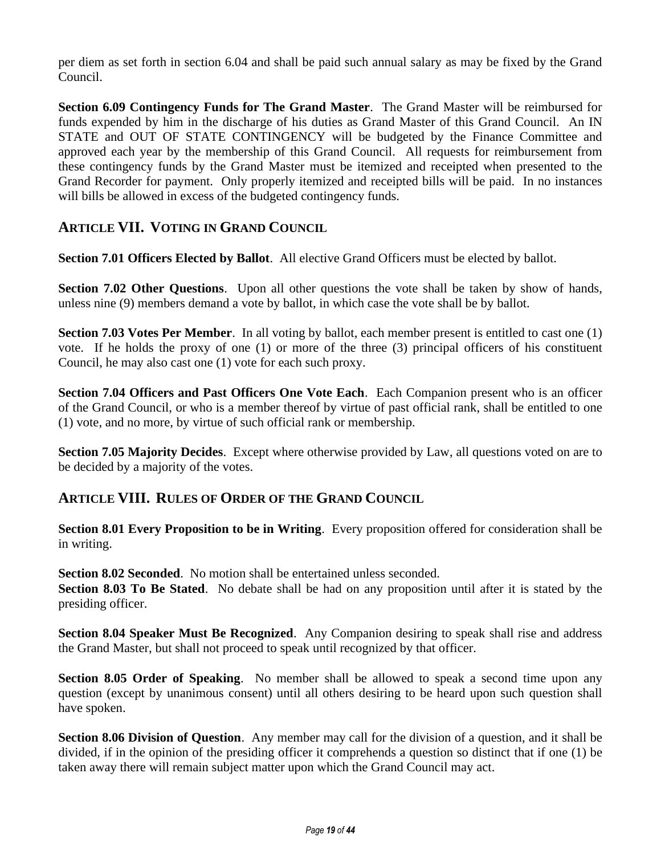per diem as set forth in section 6.04 and shall be paid such annual salary as may be fixed by the Grand Council.

**Section 6.09 Contingency Funds for The Grand Master**. The Grand Master will be reimbursed for funds expended by him in the discharge of his duties as Grand Master of this Grand Council. An IN STATE and OUT OF STATE CONTINGENCY will be budgeted by the Finance Committee and approved each year by the membership of this Grand Council. All requests for reimbursement from these contingency funds by the Grand Master must be itemized and receipted when presented to the Grand Recorder for payment. Only properly itemized and receipted bills will be paid. In no instances will bills be allowed in excess of the budgeted contingency funds.

#### **ARTICLE VII. VOTING IN GRAND COUNCIL**

**Section 7.01 Officers Elected by Ballot**. All elective Grand Officers must be elected by ballot.

**Section 7.02 Other Questions**. Upon all other questions the vote shall be taken by show of hands, unless nine (9) members demand a vote by ballot, in which case the vote shall be by ballot.

**Section 7.03 Votes Per Member**. In all voting by ballot, each member present is entitled to cast one (1) vote. If he holds the proxy of one (1) or more of the three (3) principal officers of his constituent Council, he may also cast one (1) vote for each such proxy.

**Section 7.04 Officers and Past Officers One Vote Each**. Each Companion present who is an officer of the Grand Council, or who is a member thereof by virtue of past official rank, shall be entitled to one (1) vote, and no more, by virtue of such official rank or membership.

**Section 7.05 Majority Decides**. Except where otherwise provided by Law, all questions voted on are to be decided by a majority of the votes.

#### **ARTICLE VIII. RULES OF ORDER OF THE GRAND COUNCIL**

**Section 8.01 Every Proposition to be in Writing**. Every proposition offered for consideration shall be in writing.

**Section 8.02 Seconded**. No motion shall be entertained unless seconded. **Section 8.03 To Be Stated**. No debate shall be had on any proposition until after it is stated by the presiding officer.

**Section 8.04 Speaker Must Be Recognized**. Any Companion desiring to speak shall rise and address the Grand Master, but shall not proceed to speak until recognized by that officer.

**Section 8.05 Order of Speaking**. No member shall be allowed to speak a second time upon any question (except by unanimous consent) until all others desiring to be heard upon such question shall have spoken.

**Section 8.06 Division of Question**. Any member may call for the division of a question, and it shall be divided, if in the opinion of the presiding officer it comprehends a question so distinct that if one (1) be taken away there will remain subject matter upon which the Grand Council may act.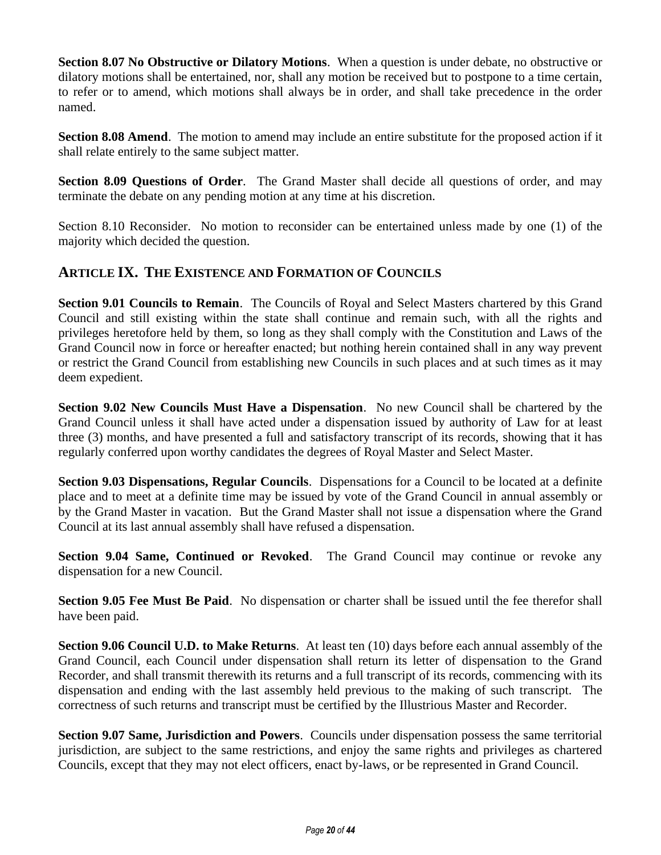**Section 8.07 No Obstructive or Dilatory Motions**. When a question is under debate, no obstructive or dilatory motions shall be entertained, nor, shall any motion be received but to postpone to a time certain, to refer or to amend, which motions shall always be in order, and shall take precedence in the order named.

**Section 8.08 Amend.** The motion to amend may include an entire substitute for the proposed action if it shall relate entirely to the same subject matter.

**Section 8.09 Questions of Order**. The Grand Master shall decide all questions of order, and may terminate the debate on any pending motion at any time at his discretion.

Section 8.10 Reconsider. No motion to reconsider can be entertained unless made by one (1) of the majority which decided the question.

#### **ARTICLE IX. THE EXISTENCE AND FORMATION OF COUNCILS**

**Section 9.01 Councils to Remain**. The Councils of Royal and Select Masters chartered by this Grand Council and still existing within the state shall continue and remain such, with all the rights and privileges heretofore held by them, so long as they shall comply with the Constitution and Laws of the Grand Council now in force or hereafter enacted; but nothing herein contained shall in any way prevent or restrict the Grand Council from establishing new Councils in such places and at such times as it may deem expedient.

**Section 9.02 New Councils Must Have a Dispensation**. No new Council shall be chartered by the Grand Council unless it shall have acted under a dispensation issued by authority of Law for at least three (3) months, and have presented a full and satisfactory transcript of its records, showing that it has regularly conferred upon worthy candidates the degrees of Royal Master and Select Master.

**Section 9.03 Dispensations, Regular Councils**. Dispensations for a Council to be located at a definite place and to meet at a definite time may be issued by vote of the Grand Council in annual assembly or by the Grand Master in vacation. But the Grand Master shall not issue a dispensation where the Grand Council at its last annual assembly shall have refused a dispensation.

**Section 9.04 Same, Continued or Revoked**. The Grand Council may continue or revoke any dispensation for a new Council.

**Section 9.05 Fee Must Be Paid**. No dispensation or charter shall be issued until the fee therefor shall have been paid.

**Section 9.06 Council U.D. to Make Returns**. At least ten (10) days before each annual assembly of the Grand Council, each Council under dispensation shall return its letter of dispensation to the Grand Recorder, and shall transmit therewith its returns and a full transcript of its records, commencing with its dispensation and ending with the last assembly held previous to the making of such transcript. The correctness of such returns and transcript must be certified by the Illustrious Master and Recorder.

**Section 9.07 Same, Jurisdiction and Powers**. Councils under dispensation possess the same territorial jurisdiction, are subject to the same restrictions, and enjoy the same rights and privileges as chartered Councils, except that they may not elect officers, enact by-laws, or be represented in Grand Council.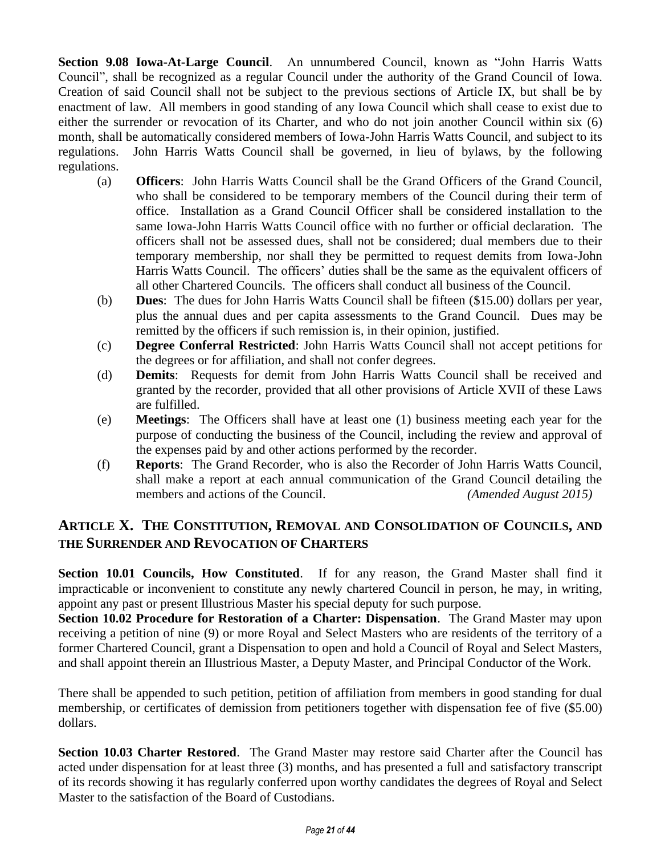**Section 9.08 Iowa-At-Large Council**. An unnumbered Council, known as "John Harris Watts Council", shall be recognized as a regular Council under the authority of the Grand Council of Iowa. Creation of said Council shall not be subject to the previous sections of Article IX, but shall be by enactment of law. All members in good standing of any Iowa Council which shall cease to exist due to either the surrender or revocation of its Charter, and who do not join another Council within six (6) month, shall be automatically considered members of Iowa-John Harris Watts Council, and subject to its regulations. John Harris Watts Council shall be governed, in lieu of bylaws, by the following regulations.

- (a) **Officers**: John Harris Watts Council shall be the Grand Officers of the Grand Council, who shall be considered to be temporary members of the Council during their term of office. Installation as a Grand Council Officer shall be considered installation to the same Iowa-John Harris Watts Council office with no further or official declaration. The officers shall not be assessed dues, shall not be considered; dual members due to their temporary membership, nor shall they be permitted to request demits from Iowa-John Harris Watts Council. The officers' duties shall be the same as the equivalent officers of all other Chartered Councils. The officers shall conduct all business of the Council.
- (b) **Dues**: The dues for John Harris Watts Council shall be fifteen (\$15.00) dollars per year, plus the annual dues and per capita assessments to the Grand Council. Dues may be remitted by the officers if such remission is, in their opinion, justified.
- (c) **Degree Conferral Restricted**: John Harris Watts Council shall not accept petitions for the degrees or for affiliation, and shall not confer degrees.
- (d) **Demits**: Requests for demit from John Harris Watts Council shall be received and granted by the recorder, provided that all other provisions of Article XVII of these Laws are fulfilled.
- (e) **Meetings**: The Officers shall have at least one (1) business meeting each year for the purpose of conducting the business of the Council, including the review and approval of the expenses paid by and other actions performed by the recorder.
- (f) **Reports**: The Grand Recorder, who is also the Recorder of John Harris Watts Council, shall make a report at each annual communication of the Grand Council detailing the members and actions of the Council. *(Amended August 2015)*

#### **ARTICLE X. THE CONSTITUTION, REMOVAL AND CONSOLIDATION OF COUNCILS, AND THE SURRENDER AND REVOCATION OF CHARTERS**

**Section 10.01 Councils, How Constituted**. If for any reason, the Grand Master shall find it impracticable or inconvenient to constitute any newly chartered Council in person, he may, in writing, appoint any past or present Illustrious Master his special deputy for such purpose.

**Section 10.02 Procedure for Restoration of a Charter: Dispensation**. The Grand Master may upon receiving a petition of nine (9) or more Royal and Select Masters who are residents of the territory of a former Chartered Council, grant a Dispensation to open and hold a Council of Royal and Select Masters, and shall appoint therein an Illustrious Master, a Deputy Master, and Principal Conductor of the Work.

There shall be appended to such petition, petition of affiliation from members in good standing for dual membership, or certificates of demission from petitioners together with dispensation fee of five (\$5.00) dollars.

**Section 10.03 Charter Restored**. The Grand Master may restore said Charter after the Council has acted under dispensation for at least three (3) months, and has presented a full and satisfactory transcript of its records showing it has regularly conferred upon worthy candidates the degrees of Royal and Select Master to the satisfaction of the Board of Custodians.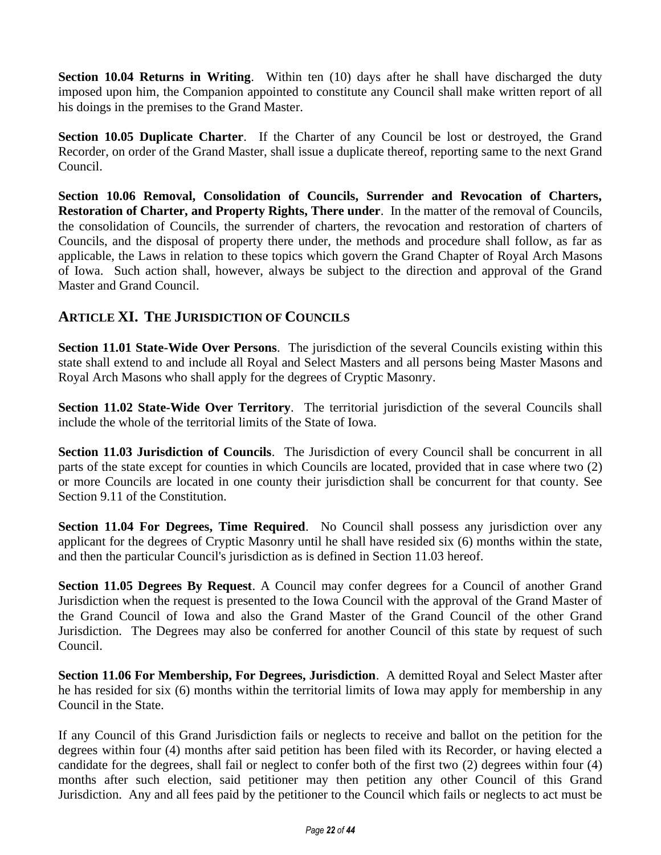**Section 10.04 Returns in Writing.** Within ten (10) days after he shall have discharged the duty imposed upon him, the Companion appointed to constitute any Council shall make written report of all his doings in the premises to the Grand Master.

**Section 10.05 Duplicate Charter**. If the Charter of any Council be lost or destroyed, the Grand Recorder, on order of the Grand Master, shall issue a duplicate thereof, reporting same to the next Grand Council.

**Section 10.06 Removal, Consolidation of Councils, Surrender and Revocation of Charters, Restoration of Charter, and Property Rights, There under**. In the matter of the removal of Councils, the consolidation of Councils, the surrender of charters, the revocation and restoration of charters of Councils, and the disposal of property there under, the methods and procedure shall follow, as far as applicable, the Laws in relation to these topics which govern the Grand Chapter of Royal Arch Masons of Iowa. Such action shall, however, always be subject to the direction and approval of the Grand Master and Grand Council.

#### **ARTICLE XI. THE JURISDICTION OF COUNCILS**

**Section 11.01 State-Wide Over Persons**. The jurisdiction of the several Councils existing within this state shall extend to and include all Royal and Select Masters and all persons being Master Masons and Royal Arch Masons who shall apply for the degrees of Cryptic Masonry.

**Section 11.02 State-Wide Over Territory**. The territorial jurisdiction of the several Councils shall include the whole of the territorial limits of the State of Iowa.

**Section 11.03 Jurisdiction of Councils**. The Jurisdiction of every Council shall be concurrent in all parts of the state except for counties in which Councils are located, provided that in case where two (2) or more Councils are located in one county their jurisdiction shall be concurrent for that county. See Section 9.11 of the Constitution.

**Section 11.04 For Degrees, Time Required**. No Council shall possess any jurisdiction over any applicant for the degrees of Cryptic Masonry until he shall have resided six (6) months within the state, and then the particular Council's jurisdiction as is defined in Section 11.03 hereof.

**Section 11.05 Degrees By Request**. A Council may confer degrees for a Council of another Grand Jurisdiction when the request is presented to the Iowa Council with the approval of the Grand Master of the Grand Council of Iowa and also the Grand Master of the Grand Council of the other Grand Jurisdiction. The Degrees may also be conferred for another Council of this state by request of such Council.

**Section 11.06 For Membership, For Degrees, Jurisdiction**. A demitted Royal and Select Master after he has resided for six (6) months within the territorial limits of Iowa may apply for membership in any Council in the State.

If any Council of this Grand Jurisdiction fails or neglects to receive and ballot on the petition for the degrees within four (4) months after said petition has been filed with its Recorder, or having elected a candidate for the degrees, shall fail or neglect to confer both of the first two (2) degrees within four (4) months after such election, said petitioner may then petition any other Council of this Grand Jurisdiction. Any and all fees paid by the petitioner to the Council which fails or neglects to act must be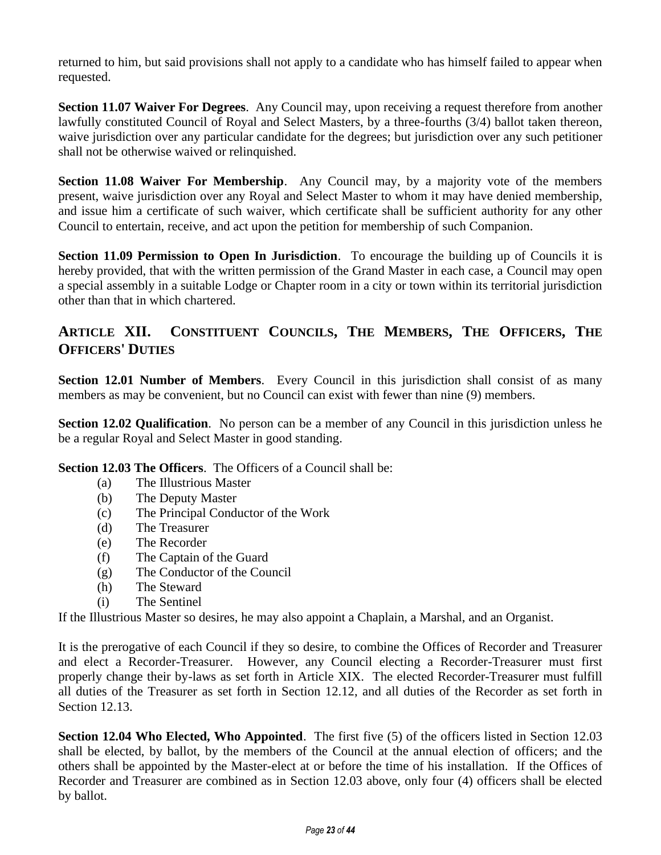returned to him, but said provisions shall not apply to a candidate who has himself failed to appear when requested.

**Section 11.07 Waiver For Degrees**. Any Council may, upon receiving a request therefore from another lawfully constituted Council of Royal and Select Masters, by a three-fourths (3/4) ballot taken thereon, waive jurisdiction over any particular candidate for the degrees; but jurisdiction over any such petitioner shall not be otherwise waived or relinquished.

**Section 11.08 Waiver For Membership**. Any Council may, by a majority vote of the members present, waive jurisdiction over any Royal and Select Master to whom it may have denied membership, and issue him a certificate of such waiver, which certificate shall be sufficient authority for any other Council to entertain, receive, and act upon the petition for membership of such Companion.

**Section 11.09 Permission to Open In Jurisdiction**. To encourage the building up of Councils it is hereby provided, that with the written permission of the Grand Master in each case, a Council may open a special assembly in a suitable Lodge or Chapter room in a city or town within its territorial jurisdiction other than that in which chartered.

### **ARTICLE XII. CONSTITUENT COUNCILS, THE MEMBERS, THE OFFICERS, THE OFFICERS' DUTIES**

**Section 12.01 Number of Members**. Every Council in this jurisdiction shall consist of as many members as may be convenient, but no Council can exist with fewer than nine (9) members.

**Section 12.02 Qualification.** No person can be a member of any Council in this jurisdiction unless he be a regular Royal and Select Master in good standing.

**Section 12.03 The Officers**. The Officers of a Council shall be:

- (a) The Illustrious Master
- (b) The Deputy Master
- (c) The Principal Conductor of the Work
- (d) The Treasurer
- (e) The Recorder
- (f) The Captain of the Guard
- (g) The Conductor of the Council
- (h) The Steward
- (i) The Sentinel

If the Illustrious Master so desires, he may also appoint a Chaplain, a Marshal, and an Organist.

It is the prerogative of each Council if they so desire, to combine the Offices of Recorder and Treasurer and elect a Recorder-Treasurer. However, any Council electing a Recorder-Treasurer must first properly change their by-laws as set forth in Article XIX. The elected Recorder-Treasurer must fulfill all duties of the Treasurer as set forth in Section 12.12, and all duties of the Recorder as set forth in Section 12.13.

**Section 12.04 Who Elected, Who Appointed**. The first five (5) of the officers listed in Section 12.03 shall be elected, by ballot, by the members of the Council at the annual election of officers; and the others shall be appointed by the Master-elect at or before the time of his installation. If the Offices of Recorder and Treasurer are combined as in Section 12.03 above, only four (4) officers shall be elected by ballot.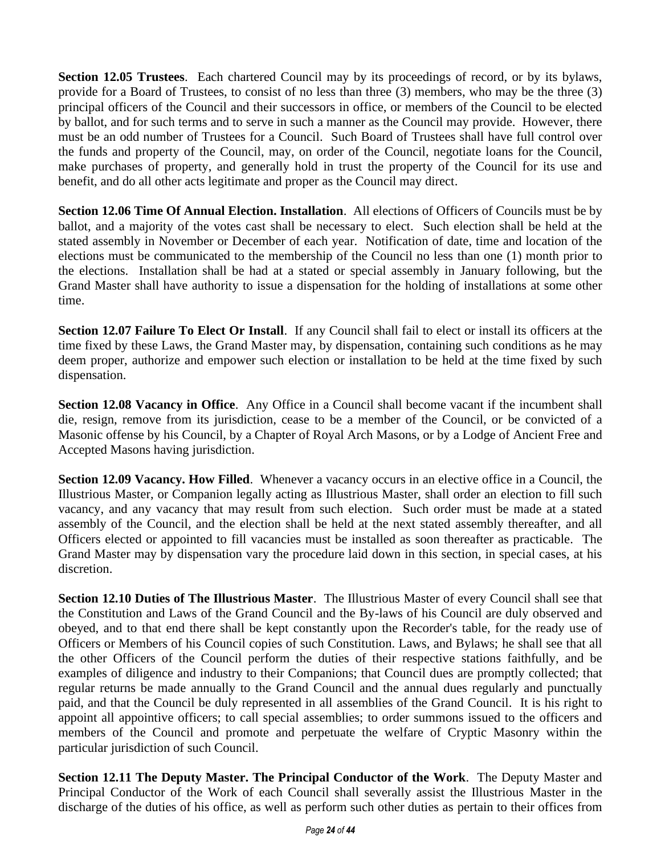**Section 12.05 Trustees**. Each chartered Council may by its proceedings of record, or by its bylaws, provide for a Board of Trustees, to consist of no less than three (3) members, who may be the three (3) principal officers of the Council and their successors in office, or members of the Council to be elected by ballot, and for such terms and to serve in such a manner as the Council may provide. However, there must be an odd number of Trustees for a Council. Such Board of Trustees shall have full control over the funds and property of the Council, may, on order of the Council, negotiate loans for the Council, make purchases of property, and generally hold in trust the property of the Council for its use and benefit, and do all other acts legitimate and proper as the Council may direct.

**Section 12.06 Time Of Annual Election. Installation**. All elections of Officers of Councils must be by ballot, and a majority of the votes cast shall be necessary to elect. Such election shall be held at the stated assembly in November or December of each year. Notification of date, time and location of the elections must be communicated to the membership of the Council no less than one (1) month prior to the elections. Installation shall be had at a stated or special assembly in January following, but the Grand Master shall have authority to issue a dispensation for the holding of installations at some other time.

**Section 12.07 Failure To Elect Or Install**. If any Council shall fail to elect or install its officers at the time fixed by these Laws, the Grand Master may, by dispensation, containing such conditions as he may deem proper, authorize and empower such election or installation to be held at the time fixed by such dispensation.

**Section 12.08 Vacancy in Office**. Any Office in a Council shall become vacant if the incumbent shall die, resign, remove from its jurisdiction, cease to be a member of the Council, or be convicted of a Masonic offense by his Council, by a Chapter of Royal Arch Masons, or by a Lodge of Ancient Free and Accepted Masons having jurisdiction.

**Section 12.09 Vacancy. How Filled**. Whenever a vacancy occurs in an elective office in a Council, the Illustrious Master, or Companion legally acting as Illustrious Master, shall order an election to fill such vacancy, and any vacancy that may result from such election. Such order must be made at a stated assembly of the Council, and the election shall be held at the next stated assembly thereafter, and all Officers elected or appointed to fill vacancies must be installed as soon thereafter as practicable. The Grand Master may by dispensation vary the procedure laid down in this section, in special cases, at his discretion.

**Section 12.10 Duties of The Illustrious Master**. The Illustrious Master of every Council shall see that the Constitution and Laws of the Grand Council and the By-laws of his Council are duly observed and obeyed, and to that end there shall be kept constantly upon the Recorder's table, for the ready use of Officers or Members of his Council copies of such Constitution. Laws, and Bylaws; he shall see that all the other Officers of the Council perform the duties of their respective stations faithfully, and be examples of diligence and industry to their Companions; that Council dues are promptly collected; that regular returns be made annually to the Grand Council and the annual dues regularly and punctually paid, and that the Council be duly represented in all assemblies of the Grand Council. It is his right to appoint all appointive officers; to call special assemblies; to order summons issued to the officers and members of the Council and promote and perpetuate the welfare of Cryptic Masonry within the particular jurisdiction of such Council.

**Section 12.11 The Deputy Master. The Principal Conductor of the Work**. The Deputy Master and Principal Conductor of the Work of each Council shall severally assist the Illustrious Master in the discharge of the duties of his office, as well as perform such other duties as pertain to their offices from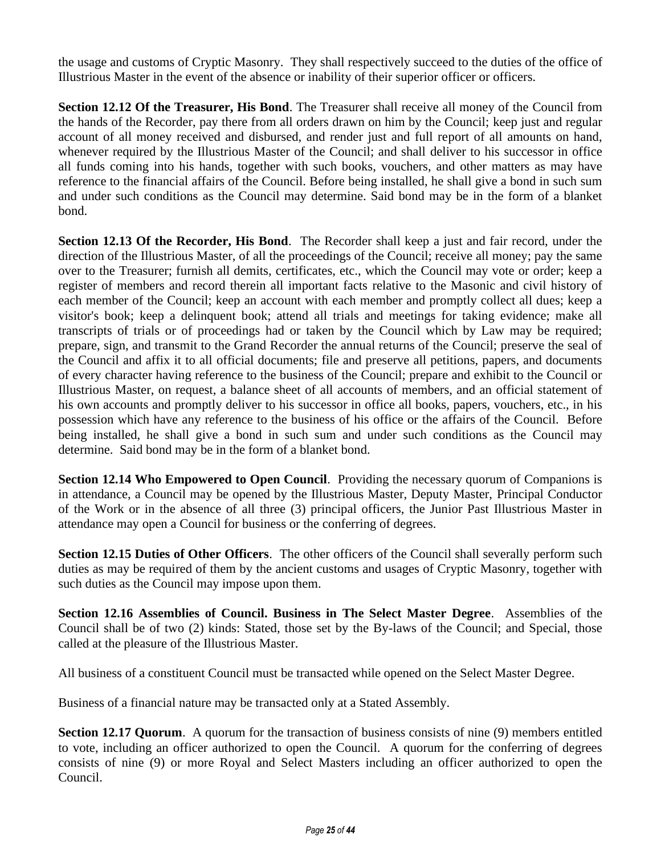the usage and customs of Cryptic Masonry. They shall respectively succeed to the duties of the office of Illustrious Master in the event of the absence or inability of their superior officer or officers.

**Section 12.12 Of the Treasurer, His Bond**. The Treasurer shall receive all money of the Council from the hands of the Recorder, pay there from all orders drawn on him by the Council; keep just and regular account of all money received and disbursed, and render just and full report of all amounts on hand, whenever required by the Illustrious Master of the Council; and shall deliver to his successor in office all funds coming into his hands, together with such books, vouchers, and other matters as may have reference to the financial affairs of the Council. Before being installed, he shall give a bond in such sum and under such conditions as the Council may determine. Said bond may be in the form of a blanket bond.

**Section 12.13 Of the Recorder, His Bond**. The Recorder shall keep a just and fair record, under the direction of the Illustrious Master, of all the proceedings of the Council; receive all money; pay the same over to the Treasurer; furnish all demits, certificates, etc., which the Council may vote or order; keep a register of members and record therein all important facts relative to the Masonic and civil history of each member of the Council; keep an account with each member and promptly collect all dues; keep a visitor's book; keep a delinquent book; attend all trials and meetings for taking evidence; make all transcripts of trials or of proceedings had or taken by the Council which by Law may be required; prepare, sign, and transmit to the Grand Recorder the annual returns of the Council; preserve the seal of the Council and affix it to all official documents; file and preserve all petitions, papers, and documents of every character having reference to the business of the Council; prepare and exhibit to the Council or Illustrious Master, on request, a balance sheet of all accounts of members, and an official statement of his own accounts and promptly deliver to his successor in office all books, papers, vouchers, etc., in his possession which have any reference to the business of his office or the affairs of the Council. Before being installed, he shall give a bond in such sum and under such conditions as the Council may determine. Said bond may be in the form of a blanket bond.

**Section 12.14 Who Empowered to Open Council.** Providing the necessary quorum of Companions is in attendance, a Council may be opened by the Illustrious Master, Deputy Master, Principal Conductor of the Work or in the absence of all three (3) principal officers, the Junior Past Illustrious Master in attendance may open a Council for business or the conferring of degrees.

**Section 12.15 Duties of Other Officers**. The other officers of the Council shall severally perform such duties as may be required of them by the ancient customs and usages of Cryptic Masonry, together with such duties as the Council may impose upon them.

**Section 12.16 Assemblies of Council. Business in The Select Master Degree**. Assemblies of the Council shall be of two (2) kinds: Stated, those set by the By-laws of the Council; and Special, those called at the pleasure of the Illustrious Master.

All business of a constituent Council must be transacted while opened on the Select Master Degree.

Business of a financial nature may be transacted only at a Stated Assembly.

**Section 12.17 Quorum**. A quorum for the transaction of business consists of nine (9) members entitled to vote, including an officer authorized to open the Council. A quorum for the conferring of degrees consists of nine (9) or more Royal and Select Masters including an officer authorized to open the Council.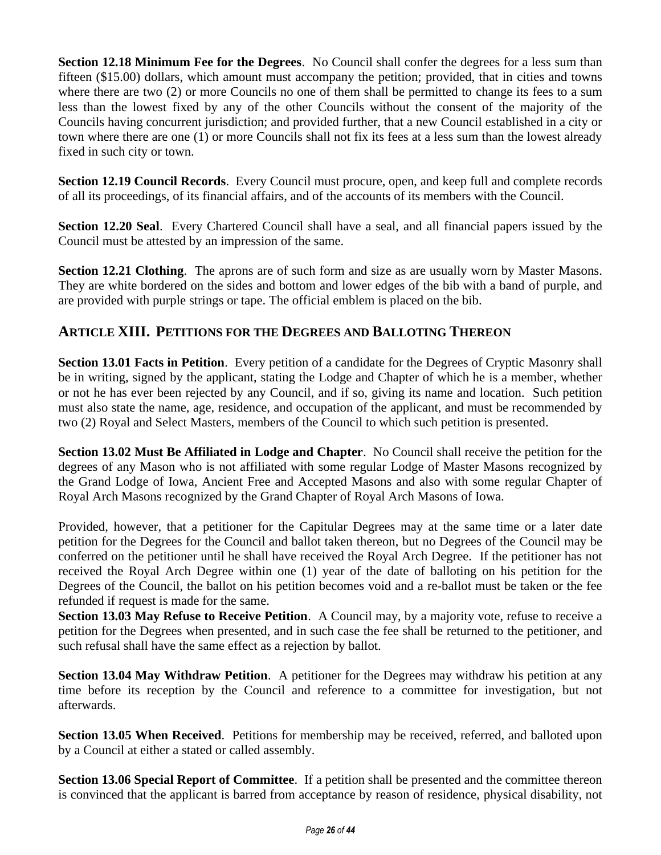**Section 12.18 Minimum Fee for the Degrees**. No Council shall confer the degrees for a less sum than fifteen (\$15.00) dollars, which amount must accompany the petition; provided, that in cities and towns where there are two (2) or more Councils no one of them shall be permitted to change its fees to a sum less than the lowest fixed by any of the other Councils without the consent of the majority of the Councils having concurrent jurisdiction; and provided further, that a new Council established in a city or town where there are one (1) or more Councils shall not fix its fees at a less sum than the lowest already fixed in such city or town.

**Section 12.19 Council Records**. Every Council must procure, open, and keep full and complete records of all its proceedings, of its financial affairs, and of the accounts of its members with the Council.

**Section 12.20 Seal**. Every Chartered Council shall have a seal, and all financial papers issued by the Council must be attested by an impression of the same.

**Section 12.21 Clothing.** The aprons are of such form and size as are usually worn by Master Masons. They are white bordered on the sides and bottom and lower edges of the bib with a band of purple, and are provided with purple strings or tape. The official emblem is placed on the bib.

#### **ARTICLE XIII. PETITIONS FOR THE DEGREES AND BALLOTING THEREON**

**Section 13.01 Facts in Petition**. Every petition of a candidate for the Degrees of Cryptic Masonry shall be in writing, signed by the applicant, stating the Lodge and Chapter of which he is a member, whether or not he has ever been rejected by any Council, and if so, giving its name and location. Such petition must also state the name, age, residence, and occupation of the applicant, and must be recommended by two (2) Royal and Select Masters, members of the Council to which such petition is presented.

**Section 13.02 Must Be Affiliated in Lodge and Chapter**. No Council shall receive the petition for the degrees of any Mason who is not affiliated with some regular Lodge of Master Masons recognized by the Grand Lodge of Iowa, Ancient Free and Accepted Masons and also with some regular Chapter of Royal Arch Masons recognized by the Grand Chapter of Royal Arch Masons of Iowa.

Provided, however, that a petitioner for the Capitular Degrees may at the same time or a later date petition for the Degrees for the Council and ballot taken thereon, but no Degrees of the Council may be conferred on the petitioner until he shall have received the Royal Arch Degree. If the petitioner has not received the Royal Arch Degree within one (1) year of the date of balloting on his petition for the Degrees of the Council, the ballot on his petition becomes void and a re-ballot must be taken or the fee refunded if request is made for the same.

**Section 13.03 May Refuse to Receive Petition**. A Council may, by a majority vote, refuse to receive a petition for the Degrees when presented, and in such case the fee shall be returned to the petitioner, and such refusal shall have the same effect as a rejection by ballot.

**Section 13.04 May Withdraw Petition.** A petitioner for the Degrees may withdraw his petition at any time before its reception by the Council and reference to a committee for investigation, but not afterwards.

**Section 13.05 When Received.** Petitions for membership may be received, referred, and balloted upon by a Council at either a stated or called assembly.

**Section 13.06 Special Report of Committee**. If a petition shall be presented and the committee thereon is convinced that the applicant is barred from acceptance by reason of residence, physical disability, not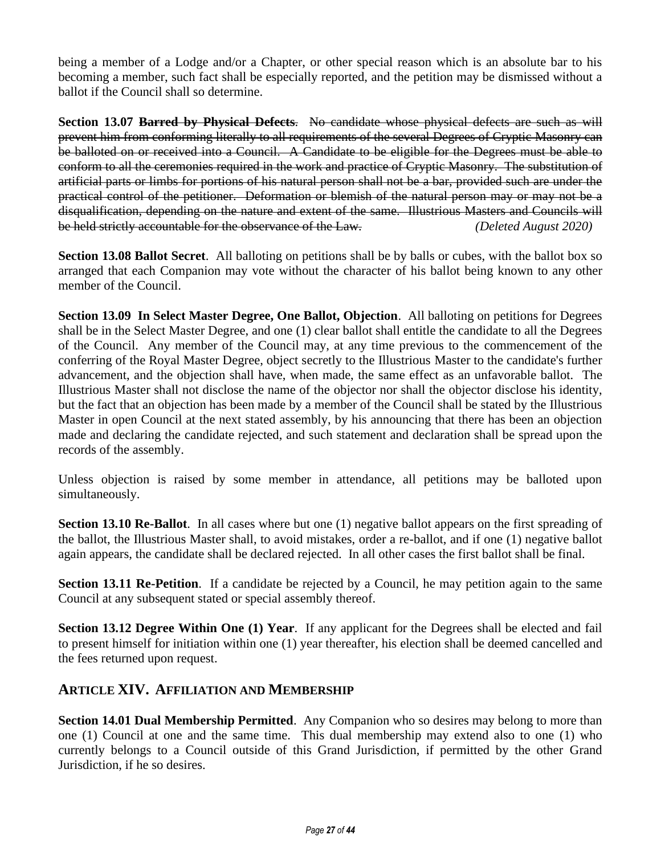being a member of a Lodge and/or a Chapter, or other special reason which is an absolute bar to his becoming a member, such fact shall be especially reported, and the petition may be dismissed without a ballot if the Council shall so determine.

**Section 13.07 Barred by Physical Defects**. No candidate whose physical defects are such as will prevent him from conforming literally to all requirements of the several Degrees of Cryptic Masonry can be balloted on or received into a Council. A Candidate to be eligible for the Degrees must be able to conform to all the ceremonies required in the work and practice of Cryptic Masonry. The substitution of artificial parts or limbs for portions of his natural person shall not be a bar, provided such are under the practical control of the petitioner. Deformation or blemish of the natural person may or may not be a disqualification, depending on the nature and extent of the same. Illustrious Masters and Councils will be held strictly accountable for the observance of the Law. *(Deleted August 2020)*

**Section 13.08 Ballot Secret**. All balloting on petitions shall be by balls or cubes, with the ballot box so arranged that each Companion may vote without the character of his ballot being known to any other member of the Council.

**Section 13.09 In Select Master Degree, One Ballot, Objection**. All balloting on petitions for Degrees shall be in the Select Master Degree, and one (1) clear ballot shall entitle the candidate to all the Degrees of the Council. Any member of the Council may, at any time previous to the commencement of the conferring of the Royal Master Degree, object secretly to the Illustrious Master to the candidate's further advancement, and the objection shall have, when made, the same effect as an unfavorable ballot. The Illustrious Master shall not disclose the name of the objector nor shall the objector disclose his identity, but the fact that an objection has been made by a member of the Council shall be stated by the Illustrious Master in open Council at the next stated assembly, by his announcing that there has been an objection made and declaring the candidate rejected, and such statement and declaration shall be spread upon the records of the assembly.

Unless objection is raised by some member in attendance, all petitions may be balloted upon simultaneously.

**Section 13.10 Re-Ballot**. In all cases where but one (1) negative ballot appears on the first spreading of the ballot, the Illustrious Master shall, to avoid mistakes, order a re-ballot, and if one (1) negative ballot again appears, the candidate shall be declared rejected. In all other cases the first ballot shall be final.

**Section 13.11 Re-Petition.** If a candidate be rejected by a Council, he may petition again to the same Council at any subsequent stated or special assembly thereof.

**Section 13.12 Degree Within One (1) Year**. If any applicant for the Degrees shall be elected and fail to present himself for initiation within one (1) year thereafter, his election shall be deemed cancelled and the fees returned upon request.

#### **ARTICLE XIV. AFFILIATION AND MEMBERSHIP**

**Section 14.01 Dual Membership Permitted**. Any Companion who so desires may belong to more than one (1) Council at one and the same time. This dual membership may extend also to one (1) who currently belongs to a Council outside of this Grand Jurisdiction, if permitted by the other Grand Jurisdiction, if he so desires.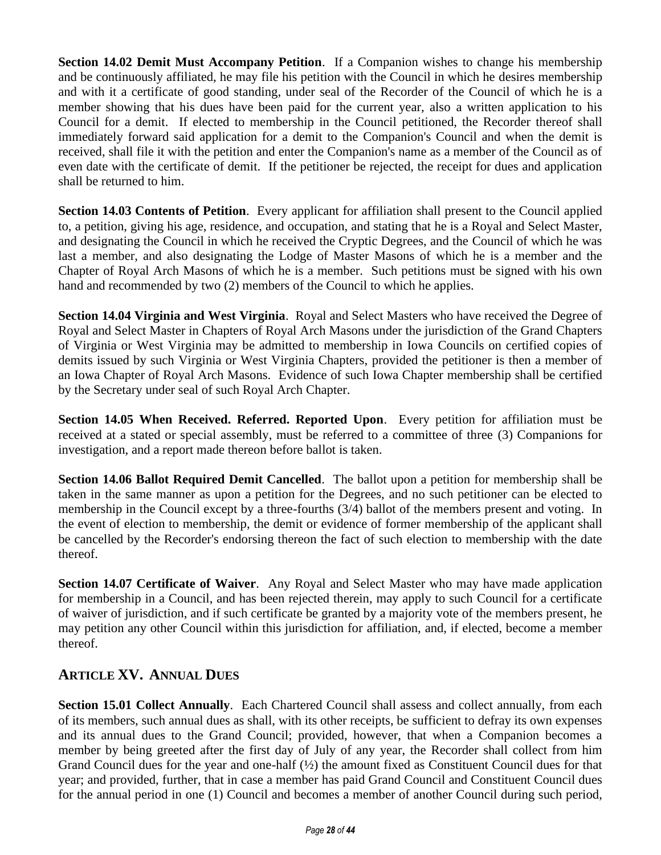**Section 14.02 Demit Must Accompany Petition**. If a Companion wishes to change his membership and be continuously affiliated, he may file his petition with the Council in which he desires membership and with it a certificate of good standing, under seal of the Recorder of the Council of which he is a member showing that his dues have been paid for the current year, also a written application to his Council for a demit. If elected to membership in the Council petitioned, the Recorder thereof shall immediately forward said application for a demit to the Companion's Council and when the demit is received, shall file it with the petition and enter the Companion's name as a member of the Council as of even date with the certificate of demit. If the petitioner be rejected, the receipt for dues and application shall be returned to him.

**Section 14.03 Contents of Petition**. Every applicant for affiliation shall present to the Council applied to, a petition, giving his age, residence, and occupation, and stating that he is a Royal and Select Master, and designating the Council in which he received the Cryptic Degrees, and the Council of which he was last a member, and also designating the Lodge of Master Masons of which he is a member and the Chapter of Royal Arch Masons of which he is a member. Such petitions must be signed with his own hand and recommended by two (2) members of the Council to which he applies.

**Section 14.04 Virginia and West Virginia**. Royal and Select Masters who have received the Degree of Royal and Select Master in Chapters of Royal Arch Masons under the jurisdiction of the Grand Chapters of Virginia or West Virginia may be admitted to membership in Iowa Councils on certified copies of demits issued by such Virginia or West Virginia Chapters, provided the petitioner is then a member of an Iowa Chapter of Royal Arch Masons. Evidence of such Iowa Chapter membership shall be certified by the Secretary under seal of such Royal Arch Chapter.

**Section 14.05 When Received. Referred. Reported Upon**. Every petition for affiliation must be received at a stated or special assembly, must be referred to a committee of three (3) Companions for investigation, and a report made thereon before ballot is taken.

**Section 14.06 Ballot Required Demit Cancelled**. The ballot upon a petition for membership shall be taken in the same manner as upon a petition for the Degrees, and no such petitioner can be elected to membership in the Council except by a three-fourths (3/4) ballot of the members present and voting. In the event of election to membership, the demit or evidence of former membership of the applicant shall be cancelled by the Recorder's endorsing thereon the fact of such election to membership with the date thereof.

**Section 14.07 Certificate of Waiver**. Any Royal and Select Master who may have made application for membership in a Council, and has been rejected therein, may apply to such Council for a certificate of waiver of jurisdiction, and if such certificate be granted by a majority vote of the members present, he may petition any other Council within this jurisdiction for affiliation, and, if elected, become a member thereof.

#### **ARTICLE XV. ANNUAL DUES**

**Section 15.01 Collect Annually**. Each Chartered Council shall assess and collect annually, from each of its members, such annual dues as shall, with its other receipts, be sufficient to defray its own expenses and its annual dues to the Grand Council; provided, however, that when a Companion becomes a member by being greeted after the first day of July of any year, the Recorder shall collect from him Grand Council dues for the year and one-half (½) the amount fixed as Constituent Council dues for that year; and provided, further, that in case a member has paid Grand Council and Constituent Council dues for the annual period in one (1) Council and becomes a member of another Council during such period,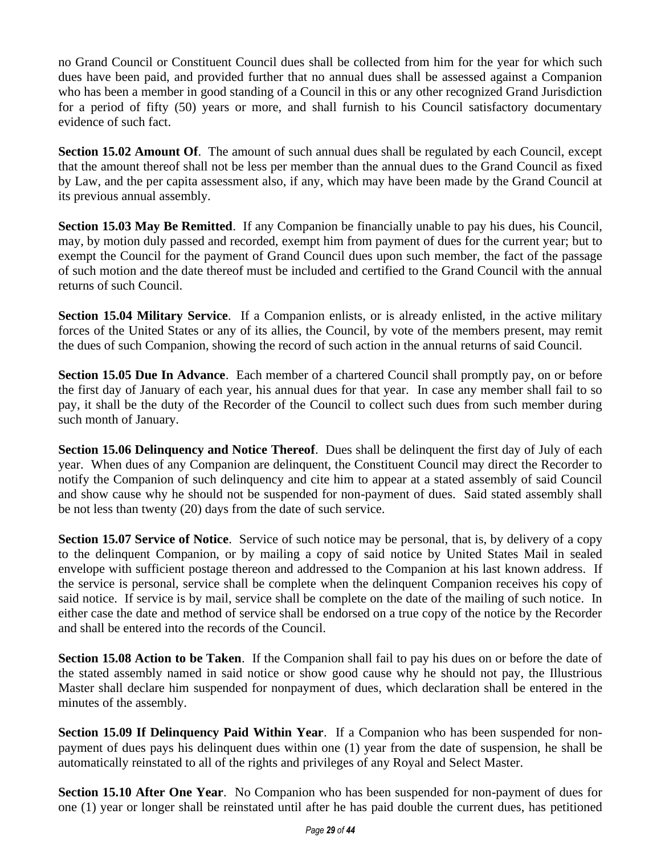no Grand Council or Constituent Council dues shall be collected from him for the year for which such dues have been paid, and provided further that no annual dues shall be assessed against a Companion who has been a member in good standing of a Council in this or any other recognized Grand Jurisdiction for a period of fifty (50) years or more, and shall furnish to his Council satisfactory documentary evidence of such fact.

**Section 15.02 Amount Of.** The amount of such annual dues shall be regulated by each Council, except that the amount thereof shall not be less per member than the annual dues to the Grand Council as fixed by Law, and the per capita assessment also, if any, which may have been made by the Grand Council at its previous annual assembly.

**Section 15.03 May Be Remitted**. If any Companion be financially unable to pay his dues, his Council, may, by motion duly passed and recorded, exempt him from payment of dues for the current year; but to exempt the Council for the payment of Grand Council dues upon such member, the fact of the passage of such motion and the date thereof must be included and certified to the Grand Council with the annual returns of such Council.

**Section 15.04 Military Service**. If a Companion enlists, or is already enlisted, in the active military forces of the United States or any of its allies, the Council, by vote of the members present, may remit the dues of such Companion, showing the record of such action in the annual returns of said Council.

**Section 15.05 Due In Advance**. Each member of a chartered Council shall promptly pay, on or before the first day of January of each year, his annual dues for that year. In case any member shall fail to so pay, it shall be the duty of the Recorder of the Council to collect such dues from such member during such month of January.

**Section 15.06 Delinquency and Notice Thereof**. Dues shall be delinquent the first day of July of each year. When dues of any Companion are delinquent, the Constituent Council may direct the Recorder to notify the Companion of such delinquency and cite him to appear at a stated assembly of said Council and show cause why he should not be suspended for non-payment of dues. Said stated assembly shall be not less than twenty (20) days from the date of such service.

**Section 15.07 Service of Notice**. Service of such notice may be personal, that is, by delivery of a copy to the delinquent Companion, or by mailing a copy of said notice by United States Mail in sealed envelope with sufficient postage thereon and addressed to the Companion at his last known address. If the service is personal, service shall be complete when the delinquent Companion receives his copy of said notice. If service is by mail, service shall be complete on the date of the mailing of such notice. In either case the date and method of service shall be endorsed on a true copy of the notice by the Recorder and shall be entered into the records of the Council.

**Section 15.08 Action to be Taken**. If the Companion shall fail to pay his dues on or before the date of the stated assembly named in said notice or show good cause why he should not pay, the Illustrious Master shall declare him suspended for nonpayment of dues, which declaration shall be entered in the minutes of the assembly.

**Section 15.09 If Delinquency Paid Within Year**. If a Companion who has been suspended for nonpayment of dues pays his delinquent dues within one (1) year from the date of suspension, he shall be automatically reinstated to all of the rights and privileges of any Royal and Select Master.

**Section 15.10 After One Year**. No Companion who has been suspended for non-payment of dues for one (1) year or longer shall be reinstated until after he has paid double the current dues, has petitioned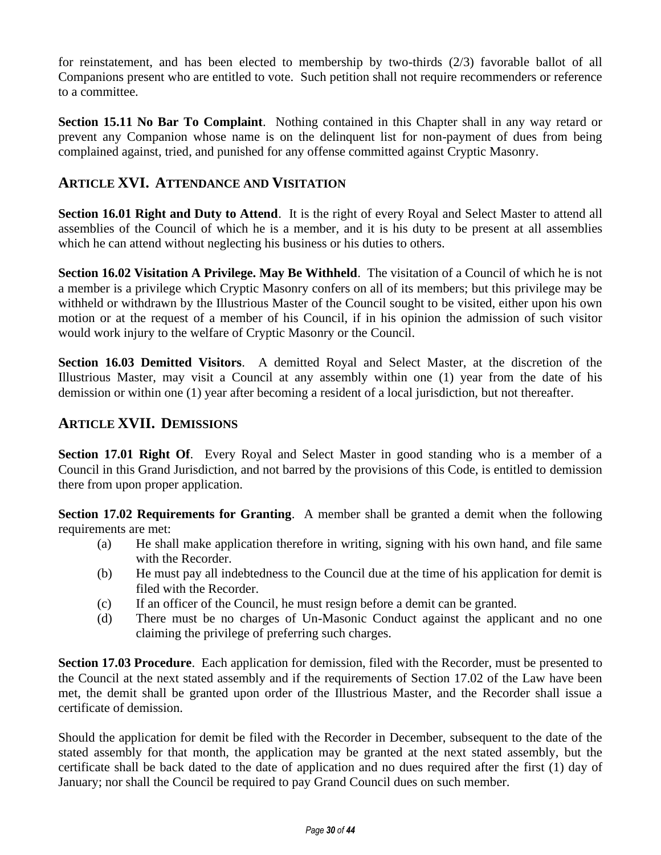for reinstatement, and has been elected to membership by two-thirds (2/3) favorable ballot of all Companions present who are entitled to vote. Such petition shall not require recommenders or reference to a committee.

**Section 15.11 No Bar To Complaint**. Nothing contained in this Chapter shall in any way retard or prevent any Companion whose name is on the delinquent list for non-payment of dues from being complained against, tried, and punished for any offense committed against Cryptic Masonry.

#### **ARTICLE XVI. ATTENDANCE AND VISITATION**

**Section 16.01 Right and Duty to Attend**. It is the right of every Royal and Select Master to attend all assemblies of the Council of which he is a member, and it is his duty to be present at all assemblies which he can attend without neglecting his business or his duties to others.

**Section 16.02 Visitation A Privilege. May Be Withheld**. The visitation of a Council of which he is not a member is a privilege which Cryptic Masonry confers on all of its members; but this privilege may be withheld or withdrawn by the Illustrious Master of the Council sought to be visited, either upon his own motion or at the request of a member of his Council, if in his opinion the admission of such visitor would work injury to the welfare of Cryptic Masonry or the Council.

**Section 16.03 Demitted Visitors**. A demitted Royal and Select Master, at the discretion of the Illustrious Master, may visit a Council at any assembly within one (1) year from the date of his demission or within one (1) year after becoming a resident of a local jurisdiction, but not thereafter.

#### **ARTICLE XVII. DEMISSIONS**

**Section 17.01 Right Of.** Every Royal and Select Master in good standing who is a member of a Council in this Grand Jurisdiction, and not barred by the provisions of this Code, is entitled to demission there from upon proper application.

**Section 17.02 Requirements for Granting**. A member shall be granted a demit when the following requirements are met:

- (a) He shall make application therefore in writing, signing with his own hand, and file same with the Recorder.
- (b) He must pay all indebtedness to the Council due at the time of his application for demit is filed with the Recorder.
- (c) If an officer of the Council, he must resign before a demit can be granted.
- (d) There must be no charges of Un-Masonic Conduct against the applicant and no one claiming the privilege of preferring such charges.

**Section 17.03 Procedure**. Each application for demission, filed with the Recorder, must be presented to the Council at the next stated assembly and if the requirements of Section 17.02 of the Law have been met, the demit shall be granted upon order of the Illustrious Master, and the Recorder shall issue a certificate of demission.

Should the application for demit be filed with the Recorder in December, subsequent to the date of the stated assembly for that month, the application may be granted at the next stated assembly, but the certificate shall be back dated to the date of application and no dues required after the first (1) day of January; nor shall the Council be required to pay Grand Council dues on such member.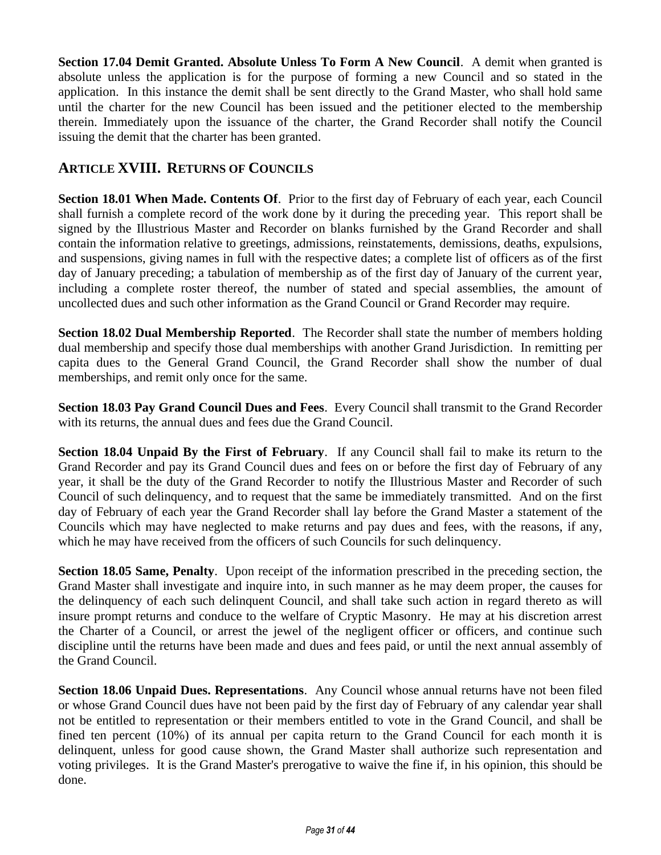**Section 17.04 Demit Granted. Absolute Unless To Form A New Council**. A demit when granted is absolute unless the application is for the purpose of forming a new Council and so stated in the application. In this instance the demit shall be sent directly to the Grand Master, who shall hold same until the charter for the new Council has been issued and the petitioner elected to the membership therein. Immediately upon the issuance of the charter, the Grand Recorder shall notify the Council issuing the demit that the charter has been granted.

#### **ARTICLE XVIII. RETURNS OF COUNCILS**

**Section 18.01 When Made. Contents Of**. Prior to the first day of February of each year, each Council shall furnish a complete record of the work done by it during the preceding year. This report shall be signed by the Illustrious Master and Recorder on blanks furnished by the Grand Recorder and shall contain the information relative to greetings, admissions, reinstatements, demissions, deaths, expulsions, and suspensions, giving names in full with the respective dates; a complete list of officers as of the first day of January preceding; a tabulation of membership as of the first day of January of the current year, including a complete roster thereof, the number of stated and special assemblies, the amount of uncollected dues and such other information as the Grand Council or Grand Recorder may require.

**Section 18.02 Dual Membership Reported**. The Recorder shall state the number of members holding dual membership and specify those dual memberships with another Grand Jurisdiction. In remitting per capita dues to the General Grand Council, the Grand Recorder shall show the number of dual memberships, and remit only once for the same.

**Section 18.03 Pay Grand Council Dues and Fees**. Every Council shall transmit to the Grand Recorder with its returns, the annual dues and fees due the Grand Council.

**Section 18.04 Unpaid By the First of February**. If any Council shall fail to make its return to the Grand Recorder and pay its Grand Council dues and fees on or before the first day of February of any year, it shall be the duty of the Grand Recorder to notify the Illustrious Master and Recorder of such Council of such delinquency, and to request that the same be immediately transmitted. And on the first day of February of each year the Grand Recorder shall lay before the Grand Master a statement of the Councils which may have neglected to make returns and pay dues and fees, with the reasons, if any, which he may have received from the officers of such Councils for such delinquency.

**Section 18.05 Same, Penalty**. Upon receipt of the information prescribed in the preceding section, the Grand Master shall investigate and inquire into, in such manner as he may deem proper, the causes for the delinquency of each such delinquent Council, and shall take such action in regard thereto as will insure prompt returns and conduce to the welfare of Cryptic Masonry. He may at his discretion arrest the Charter of a Council, or arrest the jewel of the negligent officer or officers, and continue such discipline until the returns have been made and dues and fees paid, or until the next annual assembly of the Grand Council.

**Section 18.06 Unpaid Dues. Representations**. Any Council whose annual returns have not been filed or whose Grand Council dues have not been paid by the first day of February of any calendar year shall not be entitled to representation or their members entitled to vote in the Grand Council, and shall be fined ten percent (10%) of its annual per capita return to the Grand Council for each month it is delinquent, unless for good cause shown, the Grand Master shall authorize such representation and voting privileges. It is the Grand Master's prerogative to waive the fine if, in his opinion, this should be done.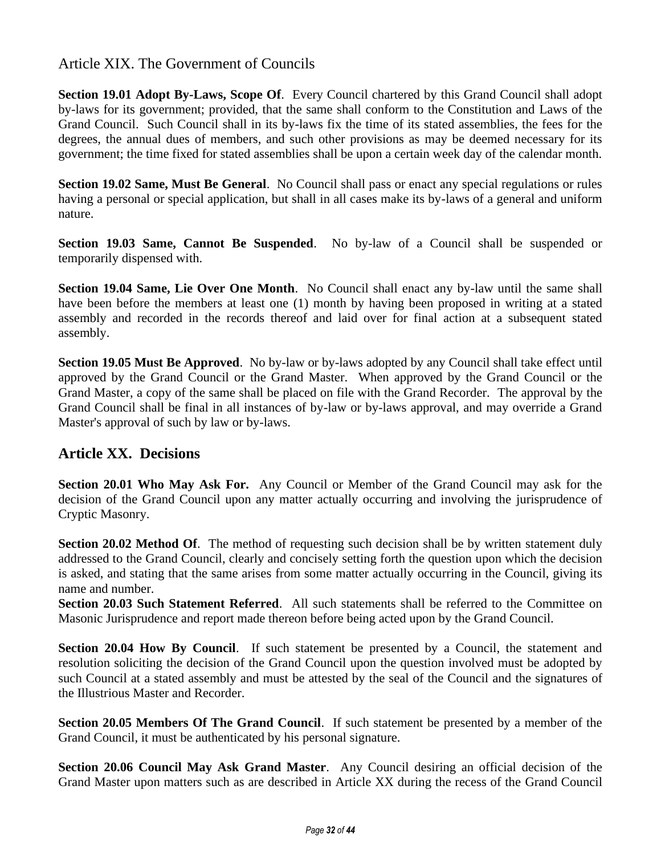#### Article XIX. The Government of Councils

**Section 19.01 Adopt By-Laws, Scope Of**. Every Council chartered by this Grand Council shall adopt by-laws for its government; provided, that the same shall conform to the Constitution and Laws of the Grand Council. Such Council shall in its by-laws fix the time of its stated assemblies, the fees for the degrees, the annual dues of members, and such other provisions as may be deemed necessary for its government; the time fixed for stated assemblies shall be upon a certain week day of the calendar month.

**Section 19.02 Same, Must Be General**. No Council shall pass or enact any special regulations or rules having a personal or special application, but shall in all cases make its by-laws of a general and uniform nature.

**Section 19.03 Same, Cannot Be Suspended**. No by-law of a Council shall be suspended or temporarily dispensed with.

**Section 19.04 Same, Lie Over One Month**. No Council shall enact any by-law until the same shall have been before the members at least one (1) month by having been proposed in writing at a stated assembly and recorded in the records thereof and laid over for final action at a subsequent stated assembly.

**Section 19.05 Must Be Approved**. No by-law or by-laws adopted by any Council shall take effect until approved by the Grand Council or the Grand Master. When approved by the Grand Council or the Grand Master, a copy of the same shall be placed on file with the Grand Recorder. The approval by the Grand Council shall be final in all instances of by-law or by-laws approval, and may override a Grand Master's approval of such by law or by-laws.

#### **Article XX. Decisions**

**Section 20.01 Who May Ask For.** Any Council or Member of the Grand Council may ask for the decision of the Grand Council upon any matter actually occurring and involving the jurisprudence of Cryptic Masonry.

**Section 20.02 Method Of.** The method of requesting such decision shall be by written statement duly addressed to the Grand Council, clearly and concisely setting forth the question upon which the decision is asked, and stating that the same arises from some matter actually occurring in the Council, giving its name and number.

**Section 20.03 Such Statement Referred**. All such statements shall be referred to the Committee on Masonic Jurisprudence and report made thereon before being acted upon by the Grand Council.

**Section 20.04 How By Council.** If such statement be presented by a Council, the statement and resolution soliciting the decision of the Grand Council upon the question involved must be adopted by such Council at a stated assembly and must be attested by the seal of the Council and the signatures of the Illustrious Master and Recorder.

**Section 20.05 Members Of The Grand Council**. If such statement be presented by a member of the Grand Council, it must be authenticated by his personal signature.

**Section 20.06 Council May Ask Grand Master**. Any Council desiring an official decision of the Grand Master upon matters such as are described in Article XX during the recess of the Grand Council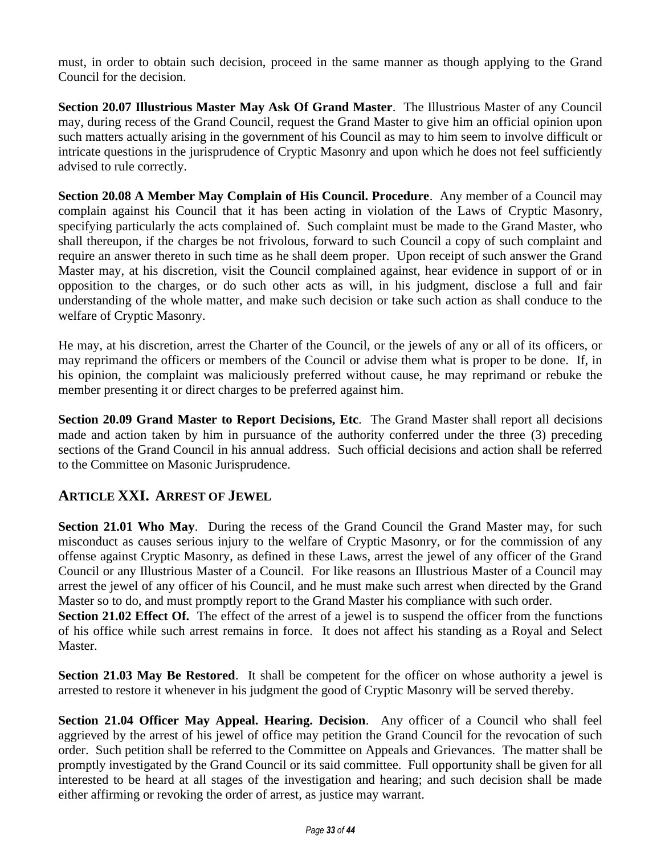must, in order to obtain such decision, proceed in the same manner as though applying to the Grand Council for the decision.

**Section 20.07 Illustrious Master May Ask Of Grand Master**. The Illustrious Master of any Council may, during recess of the Grand Council, request the Grand Master to give him an official opinion upon such matters actually arising in the government of his Council as may to him seem to involve difficult or intricate questions in the jurisprudence of Cryptic Masonry and upon which he does not feel sufficiently advised to rule correctly.

**Section 20.08 A Member May Complain of His Council. Procedure**. Any member of a Council may complain against his Council that it has been acting in violation of the Laws of Cryptic Masonry, specifying particularly the acts complained of. Such complaint must be made to the Grand Master, who shall thereupon, if the charges be not frivolous, forward to such Council a copy of such complaint and require an answer thereto in such time as he shall deem proper. Upon receipt of such answer the Grand Master may, at his discretion, visit the Council complained against, hear evidence in support of or in opposition to the charges, or do such other acts as will, in his judgment, disclose a full and fair understanding of the whole matter, and make such decision or take such action as shall conduce to the welfare of Cryptic Masonry.

He may, at his discretion, arrest the Charter of the Council, or the jewels of any or all of its officers, or may reprimand the officers or members of the Council or advise them what is proper to be done. If, in his opinion, the complaint was maliciously preferred without cause, he may reprimand or rebuke the member presenting it or direct charges to be preferred against him.

**Section 20.09 Grand Master to Report Decisions, Etc**. The Grand Master shall report all decisions made and action taken by him in pursuance of the authority conferred under the three (3) preceding sections of the Grand Council in his annual address. Such official decisions and action shall be referred to the Committee on Masonic Jurisprudence.

#### **ARTICLE XXI. ARREST OF JEWEL**

**Section 21.01 Who May.** During the recess of the Grand Council the Grand Master may, for such misconduct as causes serious injury to the welfare of Cryptic Masonry, or for the commission of any offense against Cryptic Masonry, as defined in these Laws, arrest the jewel of any officer of the Grand Council or any Illustrious Master of a Council. For like reasons an Illustrious Master of a Council may arrest the jewel of any officer of his Council, and he must make such arrest when directed by the Grand Master so to do, and must promptly report to the Grand Master his compliance with such order. **Section 21.02 Effect Of.** The effect of the arrest of a jewel is to suspend the officer from the functions of his office while such arrest remains in force. It does not affect his standing as a Royal and Select Master.

**Section 21.03 May Be Restored**. It shall be competent for the officer on whose authority a jewel is arrested to restore it whenever in his judgment the good of Cryptic Masonry will be served thereby.

**Section 21.04 Officer May Appeal. Hearing. Decision**. Any officer of a Council who shall feel aggrieved by the arrest of his jewel of office may petition the Grand Council for the revocation of such order. Such petition shall be referred to the Committee on Appeals and Grievances. The matter shall be promptly investigated by the Grand Council or its said committee. Full opportunity shall be given for all interested to be heard at all stages of the investigation and hearing; and such decision shall be made either affirming or revoking the order of arrest, as justice may warrant.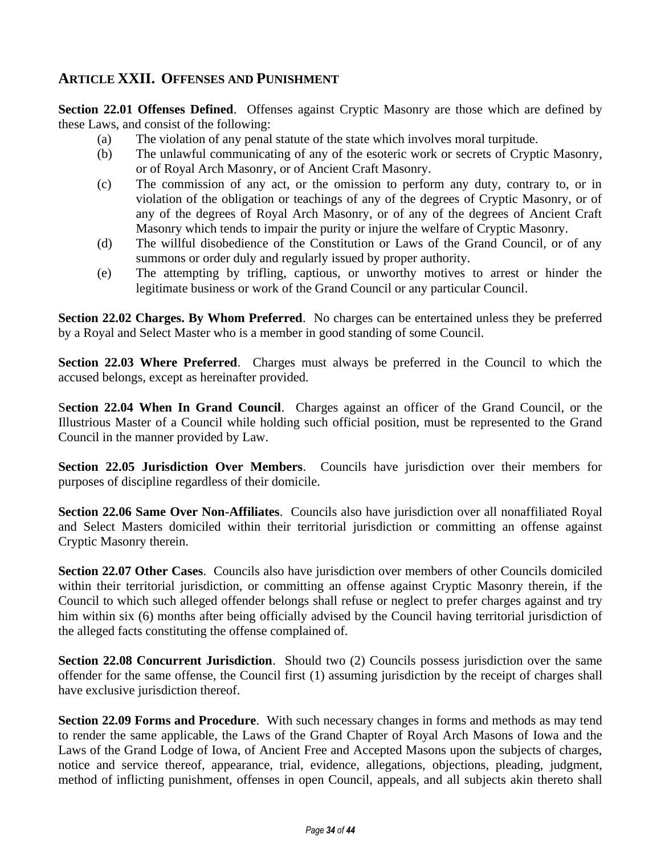#### **ARTICLE XXII. OFFENSES AND PUNISHMENT**

**Section 22.01 Offenses Defined**. Offenses against Cryptic Masonry are those which are defined by these Laws, and consist of the following:

- (a) The violation of any penal statute of the state which involves moral turpitude.
- (b) The unlawful communicating of any of the esoteric work or secrets of Cryptic Masonry, or of Royal Arch Masonry, or of Ancient Craft Masonry.
- (c) The commission of any act, or the omission to perform any duty, contrary to, or in violation of the obligation or teachings of any of the degrees of Cryptic Masonry, or of any of the degrees of Royal Arch Masonry, or of any of the degrees of Ancient Craft Masonry which tends to impair the purity or injure the welfare of Cryptic Masonry.
- (d) The willful disobedience of the Constitution or Laws of the Grand Council, or of any summons or order duly and regularly issued by proper authority.
- (e) The attempting by trifling, captious, or unworthy motives to arrest or hinder the legitimate business or work of the Grand Council or any particular Council.

**Section 22.02 Charges. By Whom Preferred**. No charges can be entertained unless they be preferred by a Royal and Select Master who is a member in good standing of some Council.

**Section 22.03 Where Preferred**. Charges must always be preferred in the Council to which the accused belongs, except as hereinafter provided.

S**ection 22.04 When In Grand Council**. Charges against an officer of the Grand Council, or the Illustrious Master of a Council while holding such official position, must be represented to the Grand Council in the manner provided by Law.

**Section 22.05 Jurisdiction Over Members**. Councils have jurisdiction over their members for purposes of discipline regardless of their domicile.

**Section 22.06 Same Over Non-Affiliates**. Councils also have jurisdiction over all nonaffiliated Royal and Select Masters domiciled within their territorial jurisdiction or committing an offense against Cryptic Masonry therein.

**Section 22.07 Other Cases**. Councils also have jurisdiction over members of other Councils domiciled within their territorial jurisdiction, or committing an offense against Cryptic Masonry therein, if the Council to which such alleged offender belongs shall refuse or neglect to prefer charges against and try him within six (6) months after being officially advised by the Council having territorial jurisdiction of the alleged facts constituting the offense complained of.

**Section 22.08 Concurrent Jurisdiction.** Should two (2) Councils possess jurisdiction over the same offender for the same offense, the Council first (1) assuming jurisdiction by the receipt of charges shall have exclusive jurisdiction thereof.

**Section 22.09 Forms and Procedure**. With such necessary changes in forms and methods as may tend to render the same applicable, the Laws of the Grand Chapter of Royal Arch Masons of Iowa and the Laws of the Grand Lodge of Iowa, of Ancient Free and Accepted Masons upon the subjects of charges, notice and service thereof, appearance, trial, evidence, allegations, objections, pleading, judgment, method of inflicting punishment, offenses in open Council, appeals, and all subjects akin thereto shall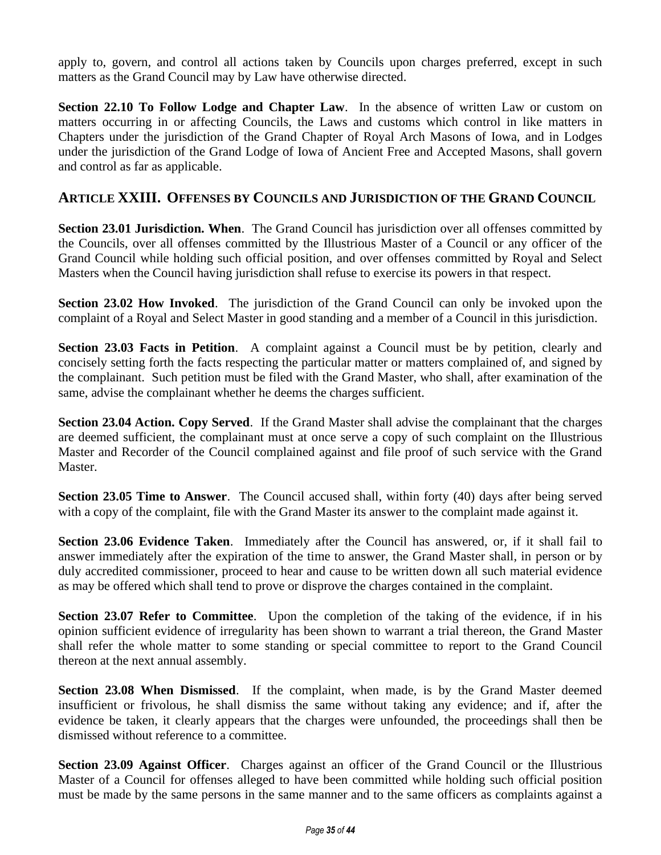apply to, govern, and control all actions taken by Councils upon charges preferred, except in such matters as the Grand Council may by Law have otherwise directed.

**Section 22.10 To Follow Lodge and Chapter Law.** In the absence of written Law or custom on matters occurring in or affecting Councils, the Laws and customs which control in like matters in Chapters under the jurisdiction of the Grand Chapter of Royal Arch Masons of Iowa, and in Lodges under the jurisdiction of the Grand Lodge of Iowa of Ancient Free and Accepted Masons, shall govern and control as far as applicable.

#### **ARTICLE XXIII. OFFENSES BY COUNCILS AND JURISDICTION OF THE GRAND COUNCIL**

**Section 23.01 Jurisdiction. When**. The Grand Council has jurisdiction over all offenses committed by the Councils, over all offenses committed by the Illustrious Master of a Council or any officer of the Grand Council while holding such official position, and over offenses committed by Royal and Select Masters when the Council having jurisdiction shall refuse to exercise its powers in that respect.

**Section 23.02 How Invoked.** The jurisdiction of the Grand Council can only be invoked upon the complaint of a Royal and Select Master in good standing and a member of a Council in this jurisdiction.

**Section 23.03 Facts in Petition**. A complaint against a Council must be by petition, clearly and concisely setting forth the facts respecting the particular matter or matters complained of, and signed by the complainant. Such petition must be filed with the Grand Master, who shall, after examination of the same, advise the complainant whether he deems the charges sufficient.

**Section 23.04 Action. Copy Served**. If the Grand Master shall advise the complainant that the charges are deemed sufficient, the complainant must at once serve a copy of such complaint on the Illustrious Master and Recorder of the Council complained against and file proof of such service with the Grand Master.

**Section 23.05 Time to Answer**. The Council accused shall, within forty (40) days after being served with a copy of the complaint, file with the Grand Master its answer to the complaint made against it.

**Section 23.06 Evidence Taken**. Immediately after the Council has answered, or, if it shall fail to answer immediately after the expiration of the time to answer, the Grand Master shall, in person or by duly accredited commissioner, proceed to hear and cause to be written down all such material evidence as may be offered which shall tend to prove or disprove the charges contained in the complaint.

**Section 23.07 Refer to Committee**. Upon the completion of the taking of the evidence, if in his opinion sufficient evidence of irregularity has been shown to warrant a trial thereon, the Grand Master shall refer the whole matter to some standing or special committee to report to the Grand Council thereon at the next annual assembly.

**Section 23.08 When Dismissed**. If the complaint, when made, is by the Grand Master deemed insufficient or frivolous, he shall dismiss the same without taking any evidence; and if, after the evidence be taken, it clearly appears that the charges were unfounded, the proceedings shall then be dismissed without reference to a committee.

**Section 23.09 Against Officer**. Charges against an officer of the Grand Council or the Illustrious Master of a Council for offenses alleged to have been committed while holding such official position must be made by the same persons in the same manner and to the same officers as complaints against a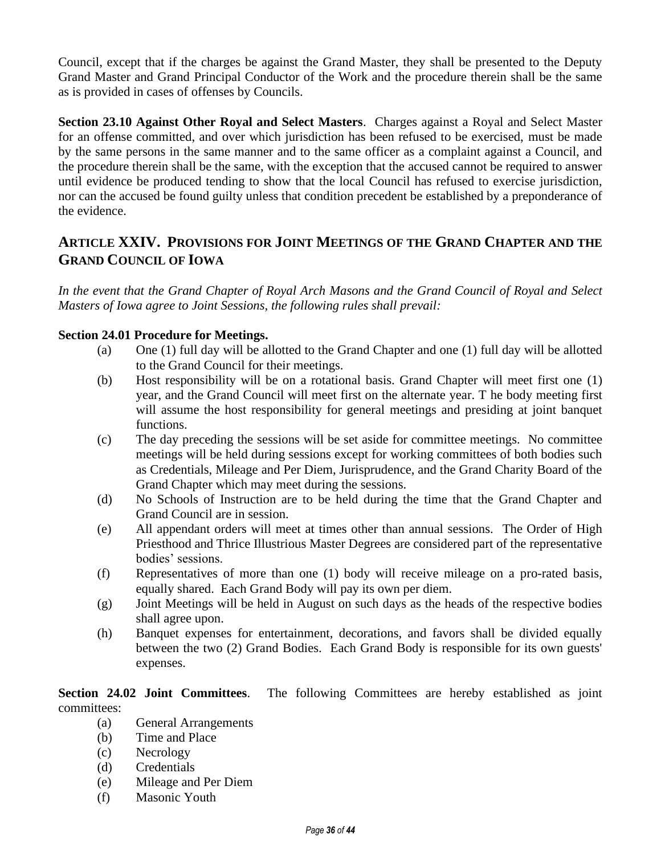Council, except that if the charges be against the Grand Master, they shall be presented to the Deputy Grand Master and Grand Principal Conductor of the Work and the procedure therein shall be the same as is provided in cases of offenses by Councils.

**Section 23.10 Against Other Royal and Select Masters**. Charges against a Royal and Select Master for an offense committed, and over which jurisdiction has been refused to be exercised, must be made by the same persons in the same manner and to the same officer as a complaint against a Council, and the procedure therein shall be the same, with the exception that the accused cannot be required to answer until evidence be produced tending to show that the local Council has refused to exercise jurisdiction, nor can the accused be found guilty unless that condition precedent be established by a preponderance of the evidence.

#### **ARTICLE XXIV. PROVISIONS FOR JOINT MEETINGS OF THE GRAND CHAPTER AND THE GRAND COUNCIL OF IOWA**

*In the event that the Grand Chapter of Royal Arch Masons and the Grand Council of Royal and Select Masters of Iowa agree to Joint Sessions, the following rules shall prevail:*

#### **Section 24.01 Procedure for Meetings.**

- (a) One (1) full day will be allotted to the Grand Chapter and one (1) full day will be allotted to the Grand Council for their meetings.
- (b) Host responsibility will be on a rotational basis. Grand Chapter will meet first one (1) year, and the Grand Council will meet first on the alternate year. T he body meeting first will assume the host responsibility for general meetings and presiding at joint banquet functions.
- (c) The day preceding the sessions will be set aside for committee meetings. No committee meetings will be held during sessions except for working committees of both bodies such as Credentials, Mileage and Per Diem, Jurisprudence, and the Grand Charity Board of the Grand Chapter which may meet during the sessions.
- (d) No Schools of Instruction are to be held during the time that the Grand Chapter and Grand Council are in session.
- (e) All appendant orders will meet at times other than annual sessions. The Order of High Priesthood and Thrice Illustrious Master Degrees are considered part of the representative bodies' sessions.
- (f) Representatives of more than one (1) body will receive mileage on a pro-rated basis, equally shared. Each Grand Body will pay its own per diem.
- (g) Joint Meetings will be held in August on such days as the heads of the respective bodies shall agree upon.
- (h) Banquet expenses for entertainment, decorations, and favors shall be divided equally between the two (2) Grand Bodies. Each Grand Body is responsible for its own guests' expenses.

**Section 24.02 Joint Committees**. The following Committees are hereby established as joint committees:

- (a) General Arrangements
- (b) Time and Place
- (c) Necrology
- (d) Credentials
- (e) Mileage and Per Diem
- (f) Masonic Youth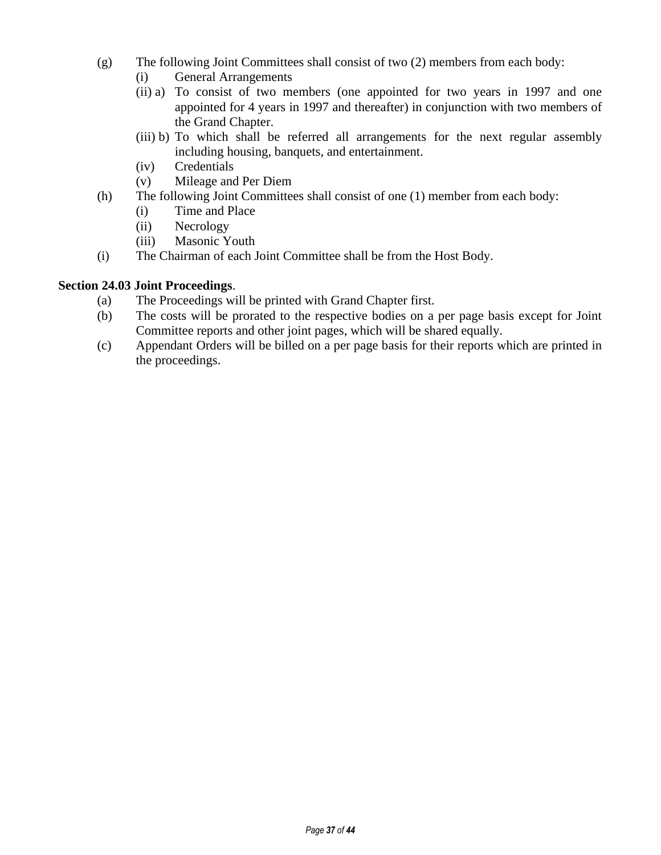- (g) The following Joint Committees shall consist of two (2) members from each body:
	- (i) General Arrangements
	- (ii) a) To consist of two members (one appointed for two years in 1997 and one appointed for 4 years in 1997 and thereafter) in conjunction with two members of the Grand Chapter.
	- (iii) b) To which shall be referred all arrangements for the next regular assembly including housing, banquets, and entertainment.
	- (iv) Credentials
	- (v) Mileage and Per Diem
- (h) The following Joint Committees shall consist of one (1) member from each body:
	- (i) Time and Place
	- (ii) Necrology
	- (iii) Masonic Youth
- (i) The Chairman of each Joint Committee shall be from the Host Body.

#### **Section 24.03 Joint Proceedings**.

- (a) The Proceedings will be printed with Grand Chapter first.
- (b) The costs will be prorated to the respective bodies on a per page basis except for Joint Committee reports and other joint pages, which will be shared equally.
- (c) Appendant Orders will be billed on a per page basis for their reports which are printed in the proceedings.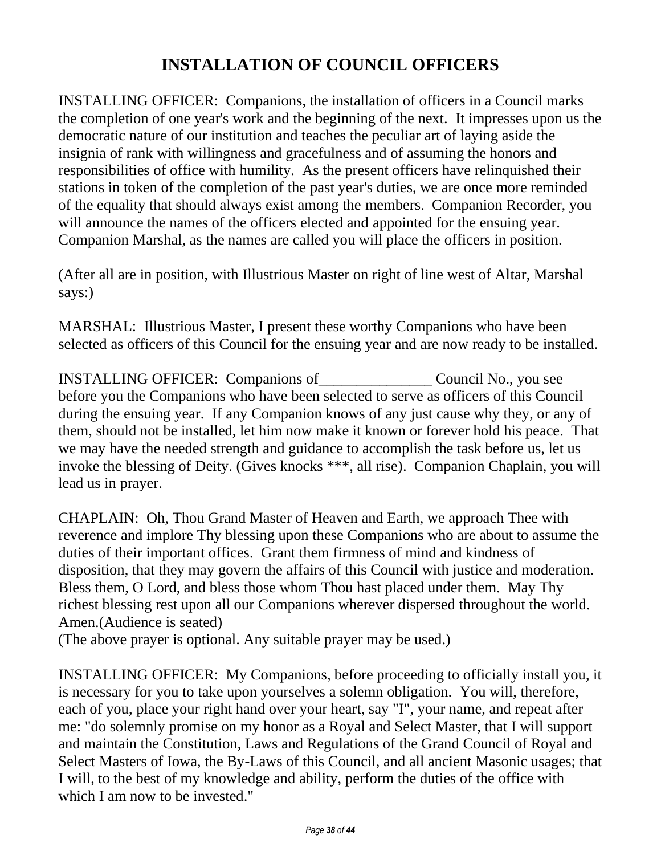# **INSTALLATION OF COUNCIL OFFICERS**

INSTALLING OFFICER: Companions, the installation of officers in a Council marks the completion of one year's work and the beginning of the next. It impresses upon us the democratic nature of our institution and teaches the peculiar art of laying aside the insignia of rank with willingness and gracefulness and of assuming the honors and responsibilities of office with humility. As the present officers have relinquished their stations in token of the completion of the past year's duties, we are once more reminded of the equality that should always exist among the members. Companion Recorder, you will announce the names of the officers elected and appointed for the ensuing year. Companion Marshal, as the names are called you will place the officers in position.

(After all are in position, with Illustrious Master on right of line west of Altar, Marshal says:)

MARSHAL: Illustrious Master, I present these worthy Companions who have been selected as officers of this Council for the ensuing year and are now ready to be installed.

INSTALLING OFFICER: Companions of\_\_\_\_\_\_\_\_\_\_\_\_\_\_\_ Council No., you see before you the Companions who have been selected to serve as officers of this Council during the ensuing year. If any Companion knows of any just cause why they, or any of them, should not be installed, let him now make it known or forever hold his peace. That we may have the needed strength and guidance to accomplish the task before us, let us invoke the blessing of Deity. (Gives knocks \*\*\*, all rise). Companion Chaplain, you will lead us in prayer.

CHAPLAIN: Oh, Thou Grand Master of Heaven and Earth, we approach Thee with reverence and implore Thy blessing upon these Companions who are about to assume the duties of their important offices. Grant them firmness of mind and kindness of disposition, that they may govern the affairs of this Council with justice and moderation. Bless them, O Lord, and bless those whom Thou hast placed under them. May Thy richest blessing rest upon all our Companions wherever dispersed throughout the world. Amen.(Audience is seated)

(The above prayer is optional. Any suitable prayer may be used.)

INSTALLING OFFICER: My Companions, before proceeding to officially install you, it is necessary for you to take upon yourselves a solemn obligation. You will, therefore, each of you, place your right hand over your heart, say "I", your name, and repeat after me: "do solemnly promise on my honor as a Royal and Select Master, that I will support and maintain the Constitution, Laws and Regulations of the Grand Council of Royal and Select Masters of Iowa, the By-Laws of this Council, and all ancient Masonic usages; that I will, to the best of my knowledge and ability, perform the duties of the office with which I am now to be invested."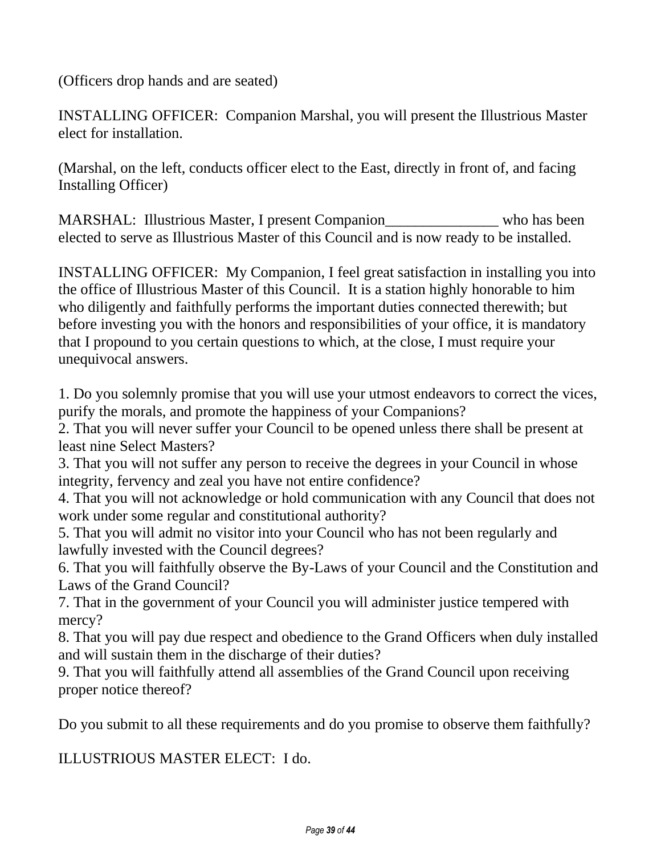(Officers drop hands and are seated)

INSTALLING OFFICER: Companion Marshal, you will present the Illustrious Master elect for installation.

(Marshal, on the left, conducts officer elect to the East, directly in front of, and facing Installing Officer)

MARSHAL: Illustrious Master, I present Companion who has been elected to serve as Illustrious Master of this Council and is now ready to be installed.

INSTALLING OFFICER: My Companion, I feel great satisfaction in installing you into the office of Illustrious Master of this Council. It is a station highly honorable to him who diligently and faithfully performs the important duties connected therewith; but before investing you with the honors and responsibilities of your office, it is mandatory that I propound to you certain questions to which, at the close, I must require your unequivocal answers.

1. Do you solemnly promise that you will use your utmost endeavors to correct the vices, purify the morals, and promote the happiness of your Companions?

2. That you will never suffer your Council to be opened unless there shall be present at least nine Select Masters?

3. That you will not suffer any person to receive the degrees in your Council in whose integrity, fervency and zeal you have not entire confidence?

4. That you will not acknowledge or hold communication with any Council that does not work under some regular and constitutional authority?

5. That you will admit no visitor into your Council who has not been regularly and lawfully invested with the Council degrees?

6. That you will faithfully observe the By-Laws of your Council and the Constitution and Laws of the Grand Council?

7. That in the government of your Council you will administer justice tempered with mercy?

8. That you will pay due respect and obedience to the Grand Officers when duly installed and will sustain them in the discharge of their duties?

9. That you will faithfully attend all assemblies of the Grand Council upon receiving proper notice thereof?

Do you submit to all these requirements and do you promise to observe them faithfully?

ILLUSTRIOUS MASTER ELECT: I do.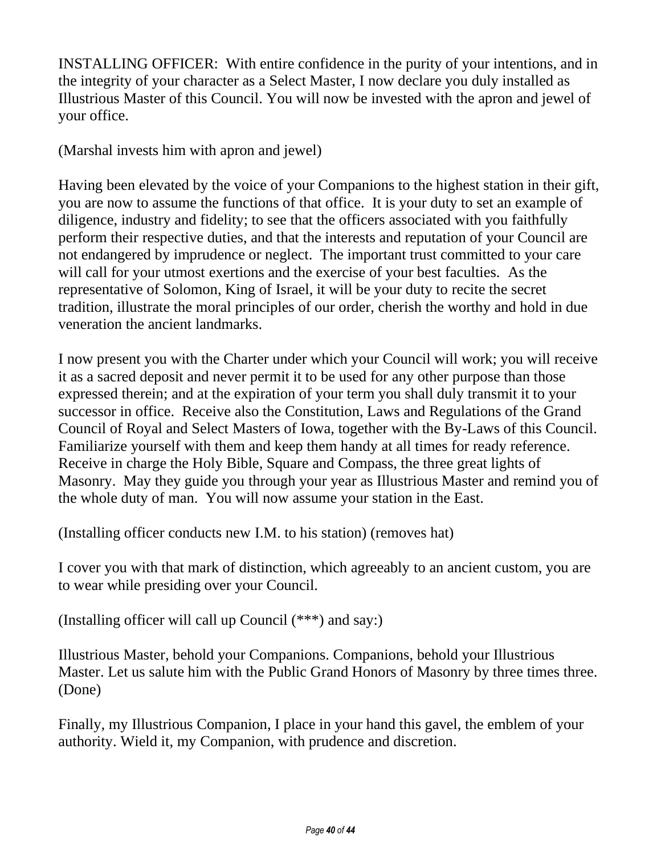INSTALLING OFFICER: With entire confidence in the purity of your intentions, and in the integrity of your character as a Select Master, I now declare you duly installed as Illustrious Master of this Council. You will now be invested with the apron and jewel of your office.

(Marshal invests him with apron and jewel)

Having been elevated by the voice of your Companions to the highest station in their gift, you are now to assume the functions of that office. It is your duty to set an example of diligence, industry and fidelity; to see that the officers associated with you faithfully perform their respective duties, and that the interests and reputation of your Council are not endangered by imprudence or neglect. The important trust committed to your care will call for your utmost exertions and the exercise of your best faculties. As the representative of Solomon, King of Israel, it will be your duty to recite the secret tradition, illustrate the moral principles of our order, cherish the worthy and hold in due veneration the ancient landmarks.

I now present you with the Charter under which your Council will work; you will receive it as a sacred deposit and never permit it to be used for any other purpose than those expressed therein; and at the expiration of your term you shall duly transmit it to your successor in office. Receive also the Constitution, Laws and Regulations of the Grand Council of Royal and Select Masters of Iowa, together with the By-Laws of this Council. Familiarize yourself with them and keep them handy at all times for ready reference. Receive in charge the Holy Bible, Square and Compass, the three great lights of Masonry. May they guide you through your year as Illustrious Master and remind you of the whole duty of man. You will now assume your station in the East.

(Installing officer conducts new I.M. to his station) (removes hat)

I cover you with that mark of distinction, which agreeably to an ancient custom, you are to wear while presiding over your Council.

(Installing officer will call up Council (\*\*\*) and say:)

Illustrious Master, behold your Companions. Companions, behold your Illustrious Master. Let us salute him with the Public Grand Honors of Masonry by three times three. (Done)

Finally, my Illustrious Companion, I place in your hand this gavel, the emblem of your authority. Wield it, my Companion, with prudence and discretion.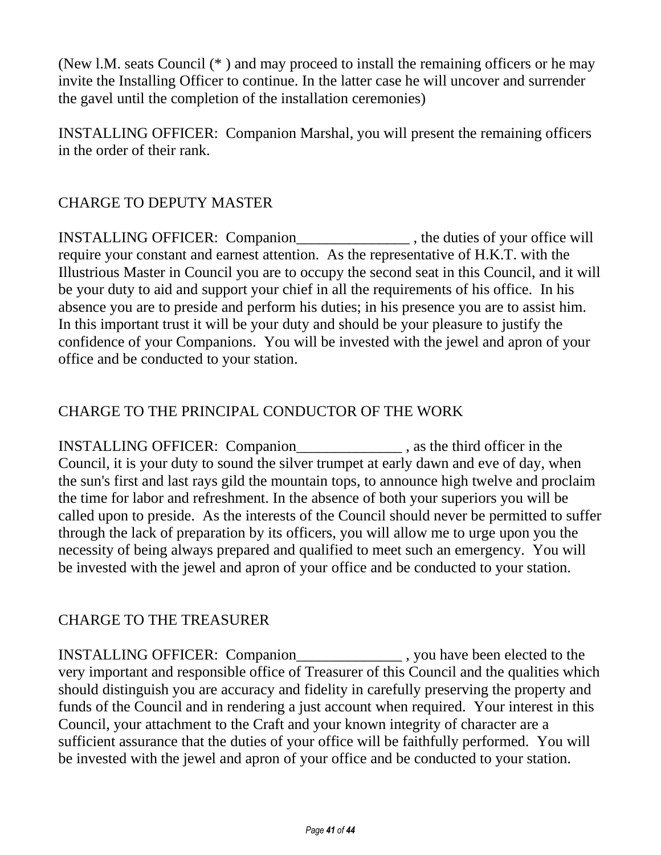(New l.M. seats Council (\* ) and may proceed to install the remaining officers or he may invite the Installing Officer to continue. In the latter case he will uncover and surrender the gavel until the completion of the installation ceremonies)

INSTALLING OFFICER: Companion Marshal, you will present the remaining officers in the order of their rank.

# CHARGE TO DEPUTY MASTER

INSTALLING OFFICER: Companion the duties of your office will require your constant and earnest attention. As the representative of H.K.T. with the Illustrious Master in Council you are to occupy the second seat in this Council, and it will be your duty to aid and support your chief in all the requirements of his office. In his absence you are to preside and perform his duties; in his presence you are to assist him. In this important trust it will be your duty and should be your pleasure to justify the confidence of your Companions. You will be invested with the jewel and apron of your office and be conducted to your station.

# CHARGE TO THE PRINCIPAL CONDUCTOR OF THE WORK

INSTALLING OFFICER: Companion\_\_\_\_\_\_\_\_\_\_\_\_\_\_ , as the third officer in the Council, it is your duty to sound the silver trumpet at early dawn and eve of day, when the sun's first and last rays gild the mountain tops, to announce high twelve and proclaim the time for labor and refreshment. In the absence of both your superiors you will be called upon to preside. As the interests of the Council should never be permitted to suffer through the lack of preparation by its officers, you will allow me to urge upon you the necessity of being always prepared and qualified to meet such an emergency. You will be invested with the jewel and apron of your office and be conducted to your station.

# CHARGE TO THE TREASURER

INSTALLING OFFICER: Companion\_\_\_\_\_\_\_\_\_\_\_\_\_\_ , you have been elected to the very important and responsible office of Treasurer of this Council and the qualities which should distinguish you are accuracy and fidelity in carefully preserving the property and funds of the Council and in rendering a just account when required. Your interest in this Council, your attachment to the Craft and your known integrity of character are a sufficient assurance that the duties of your office will be faithfully performed. You will be invested with the jewel and apron of your office and be conducted to your station.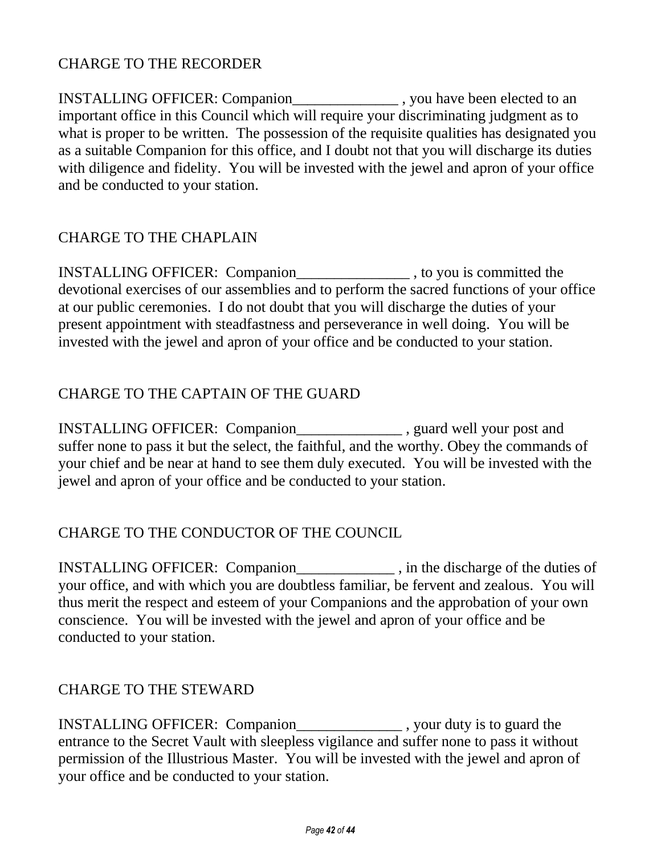# CHARGE TO THE RECORDER

INSTALLING OFFICER: Companion\_\_\_\_\_\_\_\_\_\_\_\_\_\_ , you have been elected to an important office in this Council which will require your discriminating judgment as to what is proper to be written. The possession of the requisite qualities has designated you as a suitable Companion for this office, and I doubt not that you will discharge its duties with diligence and fidelity. You will be invested with the jewel and apron of your office and be conducted to your station.

# CHARGE TO THE CHAPLAIN

INSTALLING OFFICER: Companion , to you is committed the devotional exercises of our assemblies and to perform the sacred functions of your office at our public ceremonies. I do not doubt that you will discharge the duties of your present appointment with steadfastness and perseverance in well doing. You will be invested with the jewel and apron of your office and be conducted to your station.

# CHARGE TO THE CAPTAIN OF THE GUARD

INSTALLING OFFICER: Companion\_\_\_\_\_\_\_\_\_\_\_\_\_\_ , guard well your post and suffer none to pass it but the select, the faithful, and the worthy. Obey the commands of your chief and be near at hand to see them duly executed. You will be invested with the jewel and apron of your office and be conducted to your station.

# CHARGE TO THE CONDUCTOR OF THE COUNCIL

INSTALLING OFFICER: Companion\_\_\_\_\_\_\_\_\_\_\_\_\_ , in the discharge of the duties of your office, and with which you are doubtless familiar, be fervent and zealous. You will thus merit the respect and esteem of your Companions and the approbation of your own conscience. You will be invested with the jewel and apron of your office and be conducted to your station.

# CHARGE TO THE STEWARD

INSTALLING OFFICER: Companion , your duty is to guard the entrance to the Secret Vault with sleepless vigilance and suffer none to pass it without permission of the Illustrious Master. You will be invested with the jewel and apron of your office and be conducted to your station.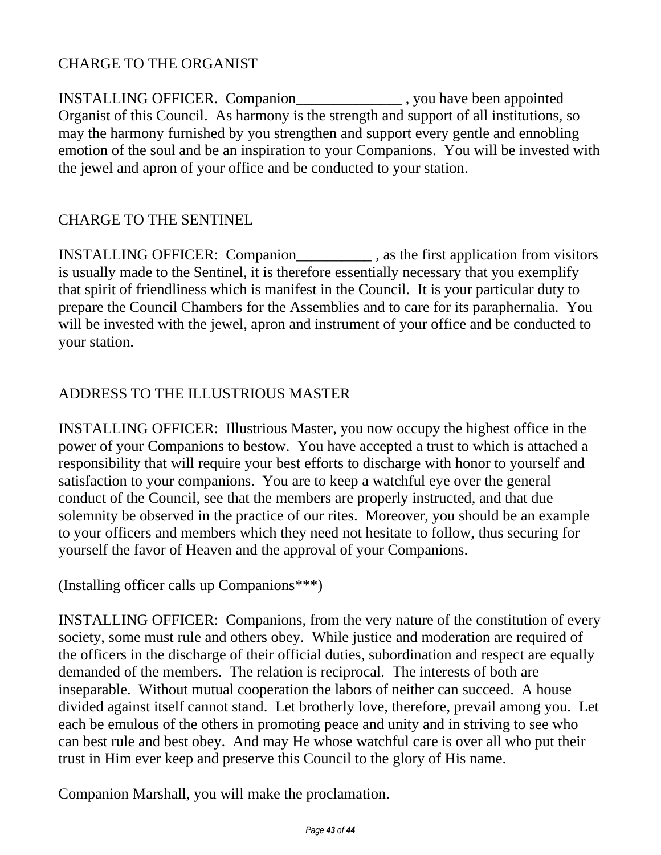# CHARGE TO THE ORGANIST

INSTALLING OFFICER. Companion\_\_\_\_\_\_\_\_\_\_\_\_\_\_ , you have been appointed Organist of this Council. As harmony is the strength and support of all institutions, so may the harmony furnished by you strengthen and support every gentle and ennobling emotion of the soul and be an inspiration to your Companions. You will be invested with the jewel and apron of your office and be conducted to your station.

# CHARGE TO THE SENTINEL

INSTALLING OFFICER: Companion\_\_\_\_\_\_\_\_\_\_ , as the first application from visitors is usually made to the Sentinel, it is therefore essentially necessary that you exemplify that spirit of friendliness which is manifest in the Council. It is your particular duty to prepare the Council Chambers for the Assemblies and to care for its paraphernalia. You will be invested with the jewel, apron and instrument of your office and be conducted to your station.

# ADDRESS TO THE ILLUSTRIOUS MASTER

INSTALLING OFFICER: Illustrious Master, you now occupy the highest office in the power of your Companions to bestow. You have accepted a trust to which is attached a responsibility that will require your best efforts to discharge with honor to yourself and satisfaction to your companions. You are to keep a watchful eye over the general conduct of the Council, see that the members are properly instructed, and that due solemnity be observed in the practice of our rites. Moreover, you should be an example to your officers and members which they need not hesitate to follow, thus securing for yourself the favor of Heaven and the approval of your Companions.

(Installing officer calls up Companions\*\*\*)

INSTALLING OFFICER: Companions, from the very nature of the constitution of every society, some must rule and others obey. While justice and moderation are required of the officers in the discharge of their official duties, subordination and respect are equally demanded of the members. The relation is reciprocal. The interests of both are inseparable. Without mutual cooperation the labors of neither can succeed. A house divided against itself cannot stand. Let brotherly love, therefore, prevail among you. Let each be emulous of the others in promoting peace and unity and in striving to see who can best rule and best obey. And may He whose watchful care is over all who put their trust in Him ever keep and preserve this Council to the glory of His name.

Companion Marshall, you will make the proclamation.